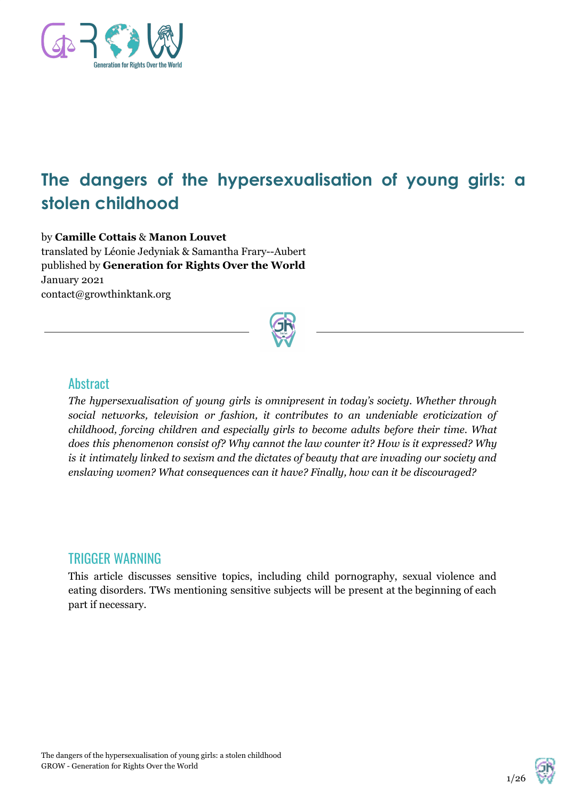

# **The dangers of the hypersexualisation of young girls: a stolen childhood**

#### by **Camille Cottais** & **Manon Louvet**

translated by Léonie Jedyniak & Samantha Frary--Aubert published by **Generation for Rights Over the World** January 2021 contact@growthinktank.org



#### **Abstract**

*The hypersexualisation of young girls is omnipresent in today's society. Whether through social networks, television or fashion, it contributes to an undeniable eroticization of childhood, forcing children and especially girls to become adults before their time. What does this phenomenon consist of? Why cannot the law counter it? How is it expressed? Why is it intimately linked to sexism and the dictates of beauty that are invading our society and enslaving women? What consequences can it have? Finally, how can it be discouraged?*

### TRIGGER WARNING

This article discusses sensitive topics, including child pornography, sexual violence and eating disorders. TWs mentioning sensitive subjects will be present at the beginning of each part if necessary.

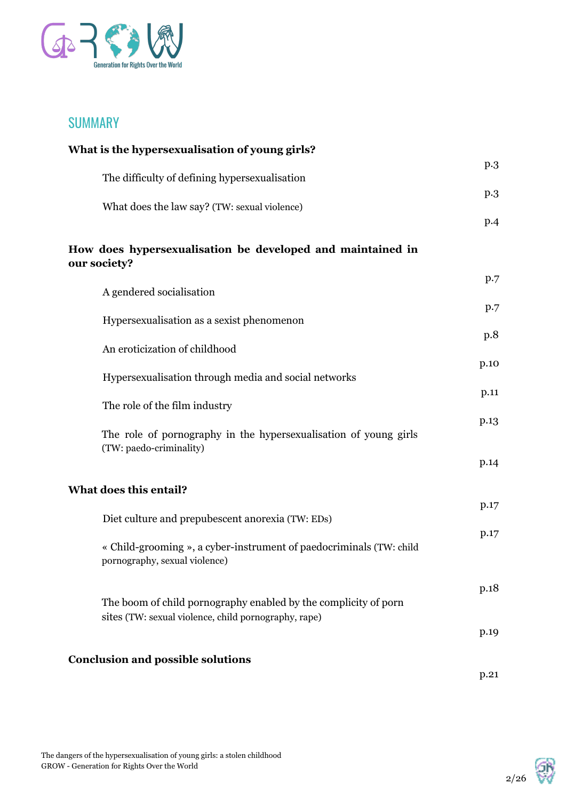

## SUMMARY

| What is the hypersexualisation of young girls?                                                       |      |
|------------------------------------------------------------------------------------------------------|------|
| The difficulty of defining hypersexualisation                                                        | p.3  |
| What does the law say? (TW: sexual violence)                                                         | p.3  |
|                                                                                                      | p.4  |
| How does hypersexualisation be developed and maintained in<br>our society?                           |      |
| A gendered socialisation                                                                             | p.7  |
| Hypersexualisation as a sexist phenomenon                                                            | p.7  |
| An eroticization of childhood                                                                        | p.8  |
|                                                                                                      | p.10 |
| Hypersexualisation through media and social networks                                                 | p.11 |
| The role of the film industry                                                                        | p.13 |
| The role of pornography in the hypersexualisation of young girls<br>(TW: paedo-criminality)          |      |
|                                                                                                      | p.14 |
| What does this entail?                                                                               |      |
| Diet culture and prepubescent anorexia (TW: EDs)                                                     | p.17 |
| « Child-grooming », a cyber-instrument of paedocriminals (TW: child<br>pornography, sexual violence) | p.17 |
| The boom of child pornography enabled by the complicity of porn                                      | p.18 |
| sites (TW: sexual violence, child pornography, rape)                                                 |      |
|                                                                                                      | p.19 |
| <b>Conclusion and possible solutions</b>                                                             | p.21 |

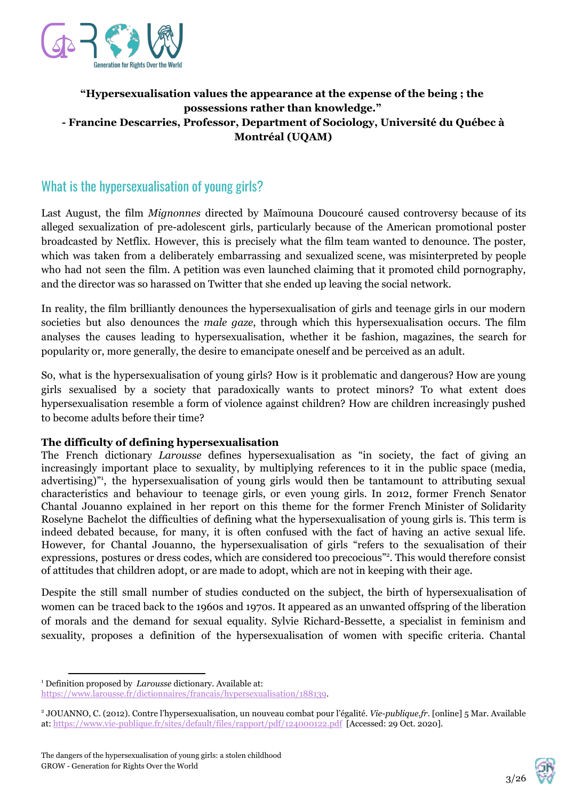

#### **"Hypersexualisation values the appearance at the expense of the being ; the possessions rather than knowledge." - Francine Descarries, Professor, Department of Sociology, Université du Québec à Montréal (UQAM)**

# What is the hypersexualisation of young girls?

Last August, the film *Mignonnes* directed by Maïmouna Doucouré caused controversy because of its alleged sexualization of pre-adolescent girls, particularly because of the American promotional poster broadcasted by Netflix. However, this is precisely what the film team wanted to denounce. The poster, which was taken from a deliberately embarrassing and sexualized scene, was misinterpreted by people who had not seen the film. A petition was even launched claiming that it promoted child pornography, and the director was so harassed on Twitter that she ended up leaving the social network.

In reality, the film brilliantly denounces the hypersexualisation of girls and teenage girls in our modern societies but also denounces the *male gaze*, through which this hypersexualisation occurs. The film analyses the causes leading to hypersexualisation, whether it be fashion, magazines, the search for popularity or, more generally, the desire to emancipate oneself and be perceived as an adult.

So, what is the hypersexualisation of young girls? How is it problematic and dangerous? How are young girls sexualised by a society that paradoxically wants to protect minors? To what extent does hypersexualisation resemble a form of violence against children? How are children increasingly pushed to become adults before their time?

#### **The difficulty of defining hypersexualisation**

The French dictionary *Larousse* defines hypersexualisation as "in society, the fact of giving an increasingly important place to sexuality, by multiplying references to it in the public space (media, advertising)", the hypersexualisation of young girls would then be tantamount to attributing sexual characteristics and behaviour to teenage girls, or even young girls. In 2012, former French Senator Chantal Jouanno explained in her report on this theme for the former French Minister of Solidarity Roselyne Bachelot the difficulties of defining what the hypersexualisation of young girls is. This term is indeed debated because, for many, it is often confused with the fact of having an active sexual life. However, for Chantal Jouanno, the hypersexualisation of girls "refers to the sexualisation of their expressions, postures or dress codes, which are considered too precocious"<sup>2</sup>. This would therefore consist of attitudes that children adopt, or are made to adopt, which are not in keeping with their age.

Despite the still small number of studies conducted on the subject, the birth of hypersexualisation of women can be traced back to the 1960s and 1970s. It appeared as an unwanted offspring of the liberation of morals and the demand for sexual equality. Sylvie Richard-Bessette, a specialist in feminism and sexuality, proposes a definition of the hypersexualisation of women with specific criteria. Chantal



<sup>1</sup> Definition proposed by *Larousse* dictionary. Available at: [https://www.larousse.fr/dictionnaires/francais/hypersexualisation/188139.](https://www.larousse.fr/dictionnaires/francais/hypersexualisation/188139)

<sup>2</sup> JOUANNO, C. (2012). Contre l'hypersexualisation, un nouveau combat pour l'égalité. *Vie-publique.fr*. [online] 5 Mar. Available at:<https://www.vie-publique.fr/sites/default/files/rapport/pdf/124000122.pdf> [Accessed: 29 Oct. 2020].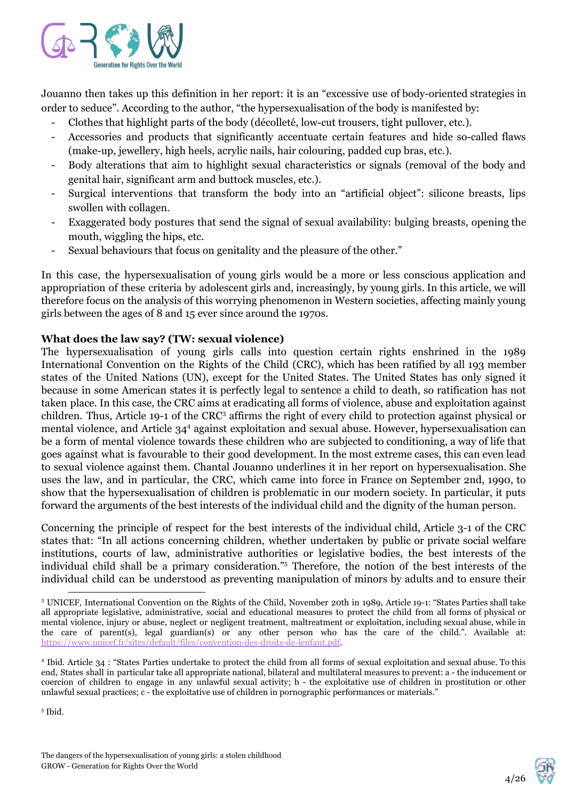

Jouanno then takes up this definition in her report: it is an "excessive use of body-oriented strategies in order to seduce". According to the author, "the hypersexualisation of the body is manifested by:

- Clothes that highlight parts of the body (décolleté, low-cut trousers, tight pullover, etc.).
- Accessories and products that significantly accentuate certain features and hide so-called flaws (make-up, jewellery, high heels, acrylic nails, hair colouring, padded cup bras, etc.).
- Body alterations that aim to highlight sexual characteristics or signals (removal of the body and genital hair, significant arm and buttock muscles, etc.).
- Surgical interventions that transform the body into an "artificial object": silicone breasts, lips swollen with collagen.
- Exaggerated body postures that send the signal of sexual availability: bulging breasts, opening the mouth, wiggling the hips, etc.
- Sexual behaviours that focus on genitality and the pleasure of the other."

In this case, the hypersexualisation of young girls would be a more or less conscious application and appropriation of these criteria by adolescent girls and, increasingly, by young girls. In this article, we will therefore focus on the analysis of this worrying phenomenon in Western societies, affecting mainly young girls between the ages of 8 and 15 ever since around the 1970s.

#### **What does the law say? (TW: sexual violence)**

The hypersexualisation of young girls calls into question certain rights enshrined in the 1989 International Convention on the Rights of the Child (CRC), which has been ratified by all 193 member states of the United Nations (UN), except for the United States. The United States has only signed it because in some American states it is perfectly legal to sentence a child to death, so ratification has not taken place. In this case, the CRC aims at eradicating all forms of violence, abuse and exploitation against children. Thus, Article 19-1 of the CRC<sup>3</sup> affirms the right of every child to protection against physical or mental violence, and Article 34<sup>4</sup> against exploitation and sexual abuse. However, hypersexualisation can be a form of mental violence towards these children who are subjected to conditioning, a way of life that goes against what is favourable to their good development. In the most extreme cases, this can even lead to sexual violence against them. Chantal Jouanno underlines it in her report on hypersexualisation. She uses the law, and in particular, the CRC, which came into force in France on September 2nd, 1990, to show that the hypersexualisation of children is problematic in our modern society. In particular, it puts forward the arguments of the best interests of the individual child and the dignity of the human person.

Concerning the principle of respect for the best interests of the individual child, Article 3-1 of the CRC states that: "In all actions concerning children, whether undertaken by public or private social welfare institutions, courts of law, administrative authorities or legislative bodies, the best interests of the individual child shall be a primary consideration."<sup>5</sup> Therefore, the notion of the best interests of the individual child can be understood as preventing manipulation of minors by adults and to ensure their

5 Ibid.



<sup>3</sup> UNICEF, International Convention on the Rights of the Child, November 20th in 1989, Article 19-1: "States Parties shall take all appropriate legislative, administrative, social and educational measures to protect the child from all forms of physical or mental violence, injury or abuse, neglect or negligent treatment, maltreatment or exploitation, including sexual abuse, while in the care of parent(s), legal guardian(s) or any other person who has the care of the child.". Available at: <https://www.unicef.fr/sites/default/files/convention-des-droits-de-lenfant.pdf>.

<sup>4</sup> Ibid. Article 34 : "States Parties undertake to protect the child from all forms of sexual exploitation and sexual abuse. To this end, States shall in particular take all appropriate national, bilateral and multilateral measures to prevent: a - the inducement or coercion of children to engage in any unlawful sexual activity; b - the exploitative use of children in prostitution or other unlawful sexual practices; c - the exploitative use of children in pornographic performances or materials."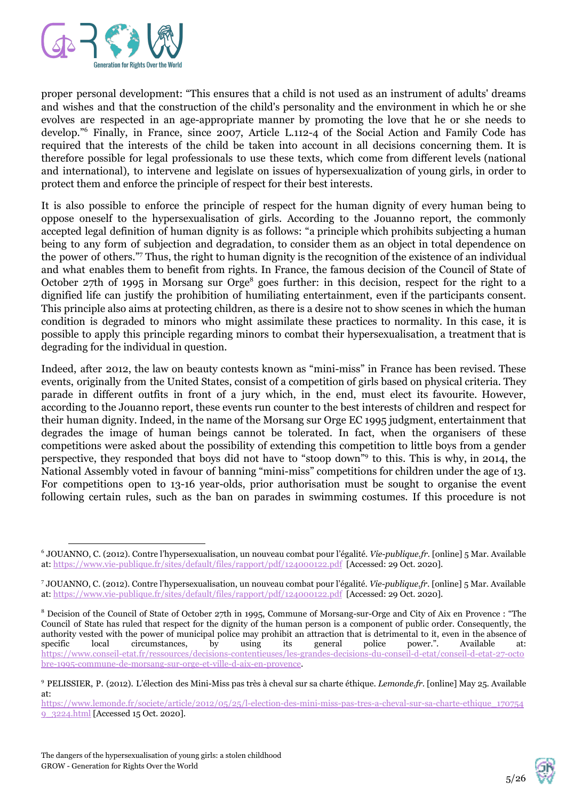

proper personal development: "This ensures that a child is not used as an instrument of adults' dreams and wishes and that the construction of the child's personality and the environment in which he or she evolves are respected in an age-appropriate manner by promoting the love that he or she needs to develop."<sup>6</sup> Finally, in France, since 2007, Article L.112-4 of the Social Action and Family Code has required that the interests of the child be taken into account in all decisions concerning them. It is therefore possible for legal professionals to use these texts, which come from different levels (national and international), to intervene and legislate on issues of hypersexualization of young girls, in order to protect them and enforce the principle of respect for their best interests.

It is also possible to enforce the principle of respect for the human dignity of every human being to oppose oneself to the hypersexualisation of girls. According to the Jouanno report, the commonly accepted legal definition of human dignity is as follows: "a principle which prohibits subjecting a human being to any form of subjection and degradation, to consider them as an object in total dependence on the power of others."<sup>7</sup> Thus, the right to human dignity is the recognition of the existence of an individual and what enables them to benefit from rights. In France, the famous decision of the Council of State of October  $27$ th of 1995 in Morsang sur Orge<sup>8</sup> goes further: in this decision, respect for the right to a dignified life can justify the prohibition of humiliating entertainment, even if the participants consent. This principle also aims at protecting children, as there is a desire not to show scenes in which the human condition is degraded to minors who might assimilate these practices to normality. In this case, it is possible to apply this principle regarding minors to combat their hypersexualisation, a treatment that is degrading for the individual in question.

Indeed, after 2012, the law on beauty contests known as "mini-miss" in France has been revised. These events, originally from the United States, consist of a competition of girls based on physical criteria. They parade in different outfits in front of a jury which, in the end, must elect its favourite. However, according to the Jouanno report, these events run counter to the best interests of children and respect for their human dignity. Indeed, in the name of the Morsang sur Orge EC 1995 judgment, entertainment that degrades the image of human beings cannot be tolerated. In fact, when the organisers of these competitions were asked about the possibility of extending this competition to little boys from a gender perspective, they responded that boys did not have to "stoop down"<sup>9</sup> to this. This is why, in 2014, the National Assembly voted in favour of banning "mini-miss" competitions for children under the age of 13. For competitions open to 13-16 year-olds, prior authorisation must be sought to organise the event following certain rules, such as the ban on parades in swimming costumes. If this procedure is not



<sup>6</sup> JOUANNO, C. (2012). Contre l'hypersexualisation, un nouveau combat pour l'égalité. *Vie-publique.fr*. [online] 5 Mar. Available at:<https://www.vie-publique.fr/sites/default/files/rapport/pdf/124000122.pdf> [Accessed: 29 Oct. 2020].

<sup>7</sup> JOUANNO, C. (2012). Contre l'hypersexualisation, un nouveau combat pour l'égalité. *Vie-publique.fr*. [online] 5 Mar. Available at:<https://www.vie-publique.fr/sites/default/files/rapport/pdf/124000122.pdf> [Accessed: 29 Oct. 2020].

<sup>8</sup> Decision of the Council of State of October 27th in 1995, Commune of Morsang-sur-Orge and City of Aix en Provence : "The Council of State has ruled that respect for the dignity of the human person is a component of public order. Consequently, the authority vested with the power of municipal police may prohibit an attraction that is detrimental to it, even in the absence of specific local circumstances, by using its general police power." Available at: specific local circumstances, by using its general police power.". Available at: [https://www.conseil-etat.fr/ressources/decisions-contentieuses/les-grandes-decisions-du-conseil-d-etat/conseil-d-etat-27-octo](https://www.conseil-etat.fr/ressources/decisions-contentieuses/les-grandes-decisions-du-conseil-d-etat/conseil-d-etat-27-octobre-1995-commune-de-morsang-sur-orge-et-ville-d-aix-en-provence) [bre-1995-commune-de-morsang-sur-orge-et-ville-d-aix-en-provence](https://www.conseil-etat.fr/ressources/decisions-contentieuses/les-grandes-decisions-du-conseil-d-etat/conseil-d-etat-27-octobre-1995-commune-de-morsang-sur-orge-et-ville-d-aix-en-provence).

<sup>9</sup> PELISSIER, P. (2012). L'élection des Mini-Miss pas très à cheval sur sa charte éthique. *Lemonde.fr*. [online] May 25. Available at:

[https://www.lemonde.fr/societe/article/2012/05/25/l-election-des-mini-miss-pas-tres-a-cheval-sur-sa-charte-ethique\\_170754](https://www.lemonde.fr/societe/article/2012/05/25/l-election-des-mini-miss-pas-tres-a-cheval-sur-sa-charte-ethique_1707549_3224.html) [9\\_3224.html](https://www.lemonde.fr/societe/article/2012/05/25/l-election-des-mini-miss-pas-tres-a-cheval-sur-sa-charte-ethique_1707549_3224.html) [Accessed 15 Oct. 2020].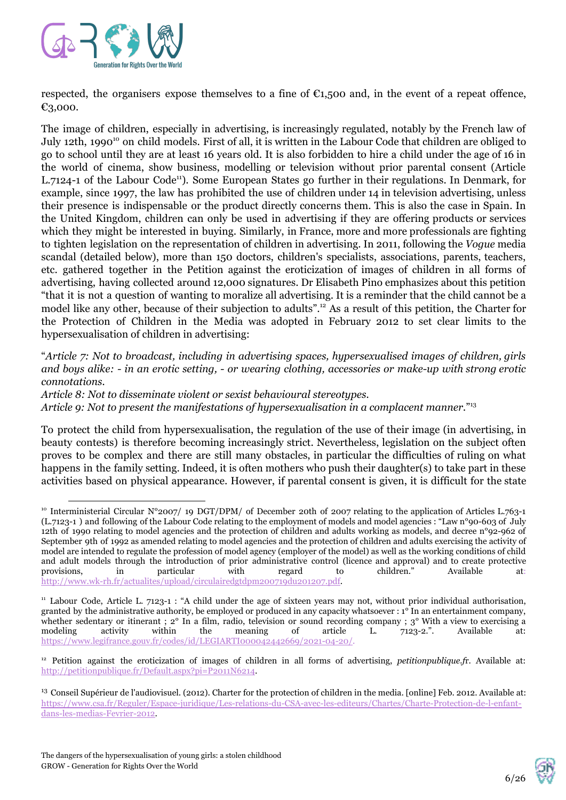

respected, the organisers expose themselves to a fine of  $\epsilon_{1,500}$  and, in the event of a repeat offence, €3,000.

The image of children, especially in advertising, is increasingly regulated, notably by the French law of July 12th, 1990<sup>10</sup> on child models. First of all, it is written in the Labour Code that children are obliged to go to school until they are at least 16 years old. It is also forbidden to hire a child under the age of 16 in the world of cinema, show business, modelling or television without prior parental consent (Article L.7124-1 of the Labour Code<sup>11</sup>). Some European States go further in their regulations. In Denmark, for example, since 1997, the law has prohibited the use of children under 14 in television advertising, unless their presence is indispensable or the product directly concerns them. This is also the case in Spain. In the United Kingdom, children can only be used in advertising if they are offering products or services which they might be interested in buying. Similarly, in France, more and more professionals are fighting to tighten legislation on the representation of children in advertising. In 2011, following the *Vogue* media scandal (detailed below), more than 150 doctors, children's specialists, associations, parents, teachers, etc. gathered together in the Petition against the eroticization of images of children in all forms of advertising, having collected around 12,000 signatures. Dr Elisabeth Pino emphasizes about this petition "that it is not a question of wanting to moralize all advertising. It is a reminder that the child cannot be a model like any other, because of their subjection to adults".<sup>12</sup> As a result of this petition, the Charter for the Protection of Children in the Media was adopted in February 2012 to set clear limits to the hypersexualisation of children in advertising:

"*Article 7: Not to broadcast, including in advertising spaces, hypersexualised images of children, girls* and boys alike: - in an erotic setting, - or wearing clothing, accessories or make-up with strong erotic *connotations.*

*Article 8: Not to disseminate violent or sexist behavioural stereotypes. Article 9: Not to present the manifestations of hypersexualisation in a complacent manner.*" 13

To protect the child from hypersexualisation, the regulation of the use of their image (in advertising, in beauty contests) is therefore becoming increasingly strict. Nevertheless, legislation on the subject often proves to be complex and there are still many obstacles, in particular the difficulties of ruling on what happens in the family setting. Indeed, it is often mothers who push their daughter(s) to take part in these activities based on physical appearance. However, if parental consent is given, it is difficult for the state



<sup>&</sup>lt;sup>10</sup> Interministerial Circular N°2007/ 19 DGT/DPM/ of December 20th of 2007 relating to the application of Articles L.763-1 (L.7123-1 ) and following of the Labour Code relating to the employment of models and model agencies : "Law n°90-603 of July 12th of 1990 relating to model agencies and the protection of children and adults working as models, and decree n°92-962 of September 9th of 1992 as amended relating to model agencies and the protection of children and adults exercising the activity of model are intended to regulate the profession of model agency (employer of the model) as well as the working conditions of child and adult models through the introduction of prior administrative control (licence and approval) and to create protective provisions, in particular with regard to children." Available at: [http://www.wk-rh.fr/actualites/upload/circulairedgtdpm200719du201207.pdf.](http://www.wk-rh.fr/actualites/upload/circulairedgtdpm200719du201207.pdf)

<sup>11</sup> Labour Code, Article L. 7123-1 : "A child under the age of sixteen years may not, without prior individual authorisation, granted by the administrative authority, be employed or produced in any capacity whatsoever : 1° In an entertainment company, whether sedentary or itinerant ; 2° In a film, radio, television or sound recording company ; 3° With a view to exercising a modeling activity within the meaning of article L. 7123-2.". Available at: [https://www.legifrance.gouv.fr/codes/id/LEGIARTI000042442669/2021-04-20/.](https://www.legifrance.gouv.fr/codes/id/LEGIARTI000042442669/2021-04-20/)

<sup>12</sup> Petition against the eroticization of images of children in all forms of advertising, *petitionpublique.f*r. Available at: [http://petitionpublique.fr/Default.aspx?pi=P2011N6214.](http://petitionpublique.fr/Default.aspx?pi=P2011N6214)

<sup>&</sup>lt;sup>13</sup> Conseil Supérieur de l'audiovisuel. (2012). Charter for the protection of children in the media. [online] Feb. 2012. Available at: [https://www.csa.fr/Reguler/Espace-juridique/Les-relations-du-CSA-avec-les-editeurs/Chartes/Charte-Protection-de-l-enfant](https://www.csa.fr/Reguler/Espace-juridique/Les-relations-du-CSA-avec-les-editeurs/Chartes/Charte-Protection-de-l-enfant-dans-les-medias-Fevrier-2012)[dans-les-medias-Fevrier-2012.](https://www.csa.fr/Reguler/Espace-juridique/Les-relations-du-CSA-avec-les-editeurs/Chartes/Charte-Protection-de-l-enfant-dans-les-medias-Fevrier-2012)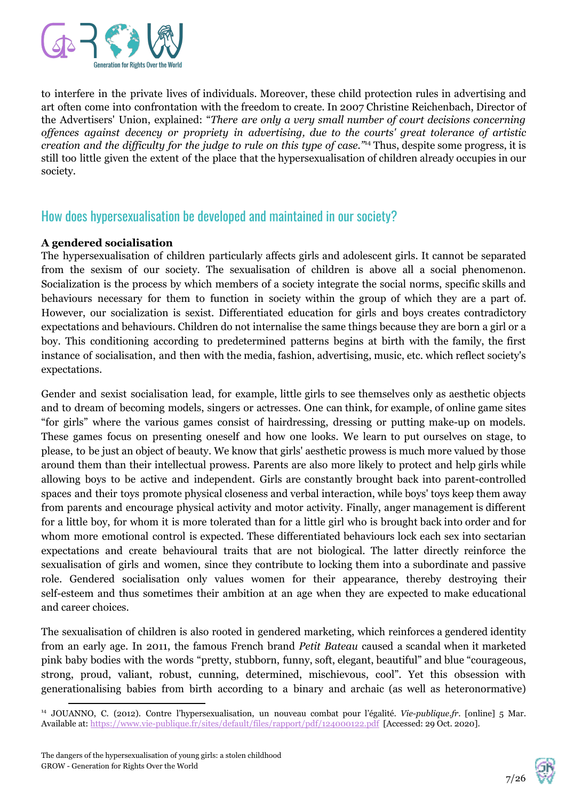

to interfere in the private lives of individuals. Moreover, these child protection rules in advertising and art often come into confrontation with the freedom to create. In 2007 Christine Reichenbach, Director of the Advertisers' Union, explained: "*There are only a very small number of court decisions concerning of ences against decency or propriety in advertising, due to the courts' great tolerance of artistic creation and the dif iculty for the judge to rule on this type of case."* Thus, despite some progress, it is 14 still too little given the extent of the place that the hypersexualisation of children already occupies in our society.

### How does hypersexualisation be developed and maintained in our society?

#### **A gendered socialisation**

The hypersexualisation of children particularly affects girls and adolescent girls. It cannot be separated from the sexism of our society. The sexualisation of children is above all a social phenomenon. Socialization is the process by which members of a society integrate the social norms, specific skills and behaviours necessary for them to function in society within the group of which they are a part of. However, our socialization is sexist. Differentiated education for girls and boys creates contradictory expectations and behaviours. Children do not internalise the same things because they are born a girl or a boy. This conditioning according to predetermined patterns begins at birth with the family, the first instance of socialisation, and then with the media, fashion, advertising, music, etc. which reflect society's expectations.

Gender and sexist socialisation lead, for example, little girls to see themselves only as aesthetic objects and to dream of becoming models, singers or actresses. One can think, for example, of online game sites "for girls" where the various games consist of hairdressing, dressing or putting make-up on models. These games focus on presenting oneself and how one looks. We learn to put ourselves on stage, to please, to be just an object of beauty. We know that girls' aesthetic prowess is much more valued by those around them than their intellectual prowess. Parents are also more likely to protect and help girls while allowing boys to be active and independent. Girls are constantly brought back into parent-controlled spaces and their toys promote physical closeness and verbal interaction, while boys' toys keep them away from parents and encourage physical activity and motor activity. Finally, anger management is different for a little boy, for whom it is more tolerated than for a little girl who is brought back into order and for whom more emotional control is expected. These differentiated behaviours lock each sex into sectarian expectations and create behavioural traits that are not biological. The latter directly reinforce the sexualisation of girls and women, since they contribute to locking them into a subordinate and passive role. Gendered socialisation only values women for their appearance, thereby destroying their self-esteem and thus sometimes their ambition at an age when they are expected to make educational and career choices.

The sexualisation of children is also rooted in gendered marketing, which reinforces a gendered identity from an early age. In 2011, the famous French brand *Petit Bateau* caused a scandal when it marketed pink baby bodies with the words "pretty, stubborn, funny, soft, elegant, beautiful" and blue "courageous, strong, proud, valiant, robust, cunning, determined, mischievous, cool". Yet this obsession with generationalising babies from birth according to a binary and archaic (as well as heteronormative)



<sup>14</sup> JOUANNO, C. (2012). Contre l'hypersexualisation, un nouveau combat pour l'égalité. *Vie-publique.fr*. [online] 5 Mar. Available at:<https://www.vie-publique.fr/sites/default/files/rapport/pdf/124000122.pdf> [Accessed: 29 Oct. 2020].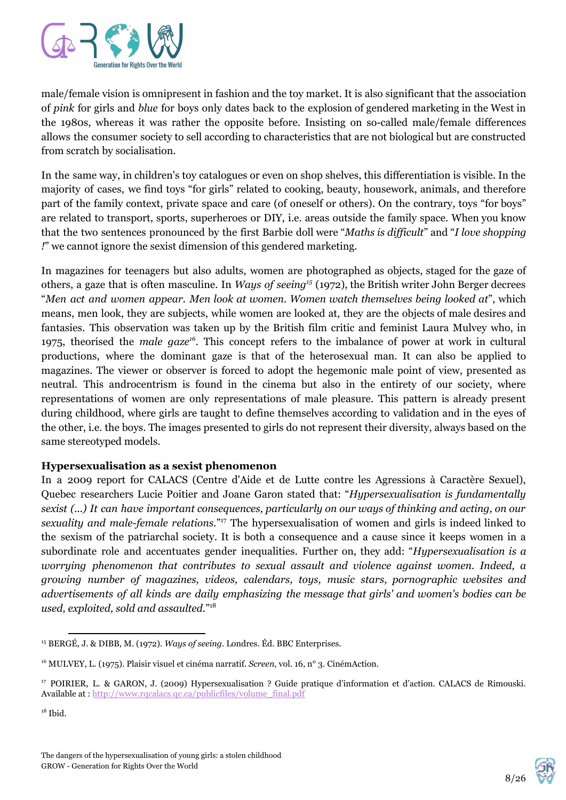

male/female vision is omnipresent in fashion and the toy market. It is also significant that the association of *pink* for girls and *blue* for boys only dates back to the explosion of gendered marketing in the West in the 1980s, whereas it was rather the opposite before. Insisting on so-called male/female differences allows the consumer society to sell according to characteristics that are not biological but are constructed from scratch by socialisation.

In the same way, in children's toy catalogues or even on shop shelves, this differentiation is visible. In the majority of cases, we find toys "for girls" related to cooking, beauty, housework, animals, and therefore part of the family context, private space and care (of oneself or others). On the contrary, toys "for boys" are related to transport, sports, superheroes or DIY, i.e. areas outside the family space. When you know that the two sentences pronounced by the first Barbie doll were "*Maths is dif icult*" and "*I love shopping !*" we cannot ignore the sexist dimension of this gendered marketing.

In magazines for teenagers but also adults, women are photographed as objects, staged for the gaze of others, a gaze that is often masculine. In *Ways of seeing*<sup>15</sup> (1972), the British writer John Berger decrees "*Men act and women appear. Men look at women. Women watch themselves being looked at*", which means, men look, they are subjects, while women are looked at, they are the objects of male desires and fantasies. This observation was taken up by the British film critic and feminist Laura Mulvey who, in 1975, theorised the *male gaze*<sup>16</sup>. This concept refers to the imbalance of power at work in cultural productions, where the dominant gaze is that of the heterosexual man. It can also be applied to magazines. The viewer or observer is forced to adopt the hegemonic male point of view, presented as neutral. This androcentrism is found in the cinema but also in the entirety of our society, where representations of women are only representations of male pleasure. This pattern is already present during childhood, where girls are taught to define themselves according to validation and in the eyes of the other, i.e. the boys. The images presented to girls do not represent their diversity, always based on the same stereotyped models.

#### **Hypersexualisation as a sexist phenomenon**

In a 2009 report for CALACS (Centre d'Aide et de Lutte contre les Agressions à Caractère Sexuel), Quebec researchers Lucie Poitier and Joane Garon stated that: "*Hypersexualisation is fundamentally sexist (...) It can have important consequences, particularly on our ways of thinking and acting, on our* sexuality and male-female relations."<sup>17</sup> The hypersexualisation of women and girls is indeed linked to the sexism of the patriarchal society. It is both a consequence and a cause since it keeps women in a subordinate role and accentuates gender inequalities. Further on, they add: "*Hypersexualisation is a worrying phenomenon that contributes to sexual assault and violence against women. Indeed, a growing number of magazines, videos, calendars, toys, music stars, pornographic websites and advertisements of all kinds are daily emphasizing the message that girls' and women's bodies can be used, exploited, sold and assaulted.*" 18



<sup>15</sup> BERGÉ, J. & DIBB, M. (1972). *Ways of seeing.* Londres. Éd. BBC Enterprises.

<sup>&</sup>lt;sup>16</sup> MULVEY, L. (1975). Plaisir visuel et cinéma narratif. *Screen*, vol. 16, n° 3. CinémAction.

<sup>17</sup> POIRIER, L. & GARON, J. (2009) Hypersexualisation ? Guide pratique d'information et d'action. CALACS de Rimouski. Available at : [http://www.rqcalacs.qc.ca/publicfiles/volume\\_final.pdf](http://www.rqcalacs.qc.ca/publicfiles/volume_final.pdf)

 $18$  Ibid.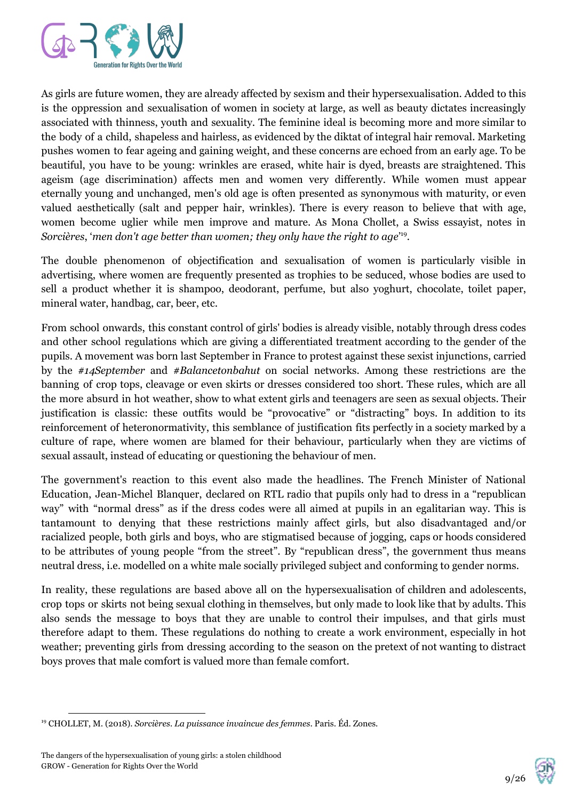

As girls are future women, they are already affected by sexism and their hypersexualisation. Added to this is the oppression and sexualisation of women in society at large, as well as beauty dictates increasingly associated with thinness, youth and sexuality. The feminine ideal is becoming more and more similar to the body of a child, shapeless and hairless, as evidenced by the diktat of integral hair removal. Marketing pushes women to fear ageing and gaining weight, and these concerns are echoed from an early age. To be beautiful, you have to be young: wrinkles are erased, white hair is dyed, breasts are straightened. This ageism (age discrimination) affects men and women very differently. While women must appear eternally young and unchanged, men's old age is often presented as synonymous with maturity, or even valued aesthetically (salt and pepper hair, wrinkles). There is every reason to believe that with age, women become uglier while men improve and mature. As Mona Chollet, a Swiss essayist, notes in *Sorcières, 'men don't age better than women; they only have the right to age*<sup>19</sup>.

The double phenomenon of objectification and sexualisation of women is particularly visible in advertising, where women are frequently presented as trophies to be seduced, whose bodies are used to sell a product whether it is shampoo, deodorant, perfume, but also yoghurt, chocolate, toilet paper, mineral water, handbag, car, beer, etc.

From school onwards, this constant control of girls' bodies is already visible, notably through dress codes and other school regulations which are giving a differentiated treatment according to the gender of the pupils. A movement was born last September in France to protest against these sexist injunctions, carried by the *#14September* and *#Balancetonbahut* on social networks. Among these restrictions are the banning of crop tops, cleavage or even skirts or dresses considered too short. These rules, which are all the more absurd in hot weather, show to what extent girls and teenagers are seen as sexual objects. Their justification is classic: these outfits would be "provocative" or "distracting" boys. In addition to its reinforcement of heteronormativity, this semblance of justification fits perfectly in a society marked by a culture of rape, where women are blamed for their behaviour, particularly when they are victims of sexual assault, instead of educating or questioning the behaviour of men.

The government's reaction to this event also made the headlines. The French Minister of National Education, Jean-Michel Blanquer, declared on RTL radio that pupils only had to dress in a "republican way" with "normal dress" as if the dress codes were all aimed at pupils in an egalitarian way. This is tantamount to denying that these restrictions mainly affect girls, but also disadvantaged and/or racialized people, both girls and boys, who are stigmatised because of jogging, caps or hoods considered to be attributes of young people "from the street". By "republican dress", the government thus means neutral dress, i.e. modelled on a white male socially privileged subject and conforming to gender norms.

In reality, these regulations are based above all on the hypersexualisation of children and adolescents, crop tops or skirts not being sexual clothing in themselves, but only made to look like that by adults. This also sends the message to boys that they are unable to control their impulses, and that girls must therefore adapt to them. These regulations do nothing to create a work environment, especially in hot weather; preventing girls from dressing according to the season on the pretext of not wanting to distract boys proves that male comfort is valued more than female comfort.



<sup>19</sup> CHOLLET, M. (2018). *Sorcières. La puissance invaincue des femmes*. Paris. Éd. Zones.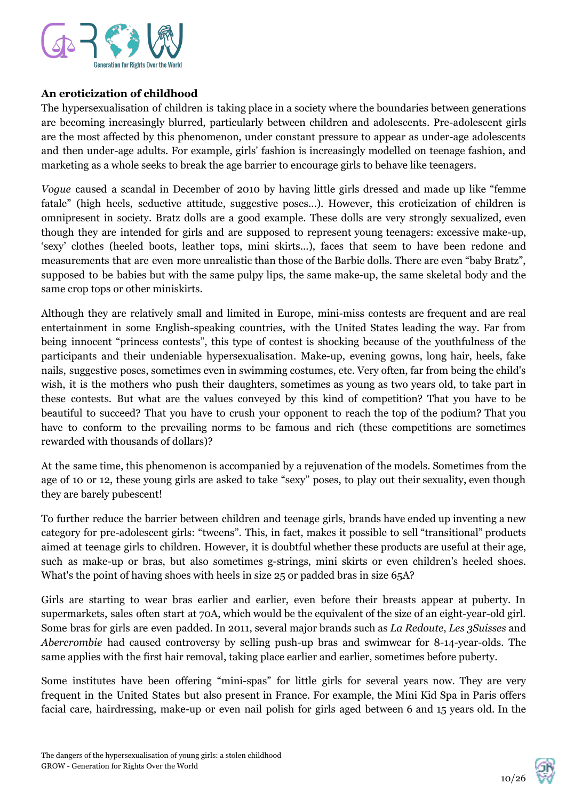

#### **An eroticization of childhood**

The hypersexualisation of children is taking place in a society where the boundaries between generations are becoming increasingly blurred, particularly between children and adolescents. Pre-adolescent girls are the most affected by this phenomenon, under constant pressure to appear as under-age adolescents and then under-age adults. For example, girls' fashion is increasingly modelled on teenage fashion, and marketing as a whole seeks to break the age barrier to encourage girls to behave like teenagers.

*Vogue* caused a scandal in December of 2010 by having little girls dressed and made up like "femme fatale" (high heels, seductive attitude, suggestive poses...). However, this eroticization of children is omnipresent in society. Bratz dolls are a good example. These dolls are very strongly sexualized, even though they are intended for girls and are supposed to represent young teenagers: excessive make-up, 'sexy' clothes (heeled boots, leather tops, mini skirts...), faces that seem to have been redone and measurements that are even more unrealistic than those of the Barbie dolls. There are even "baby Bratz", supposed to be babies but with the same pulpy lips, the same make-up, the same skeletal body and the same crop tops or other miniskirts.

Although they are relatively small and limited in Europe, mini-miss contests are frequent and are real entertainment in some English-speaking countries, with the United States leading the way. Far from being innocent "princess contests", this type of contest is shocking because of the youthfulness of the participants and their undeniable hypersexualisation. Make-up, evening gowns, long hair, heels, fake nails, suggestive poses, sometimes even in swimming costumes, etc. Very often, far from being the child's wish, it is the mothers who push their daughters, sometimes as young as two years old, to take part in these contests. But what are the values conveyed by this kind of competition? That you have to be beautiful to succeed? That you have to crush your opponent to reach the top of the podium? That you have to conform to the prevailing norms to be famous and rich (these competitions are sometimes rewarded with thousands of dollars)?

At the same time, this phenomenon is accompanied by a rejuvenation of the models. Sometimes from the age of 10 or 12, these young girls are asked to take "sexy" poses, to play out their sexuality, even though they are barely pubescent!

To further reduce the barrier between children and teenage girls, brands have ended up inventing a new category for pre-adolescent girls: "tweens". This, in fact, makes it possible to sell "transitional" products aimed at teenage girls to children. However, it is doubtful whether these products are useful at their age, such as make-up or bras, but also sometimes g-strings, mini skirts or even children's heeled shoes. What's the point of having shoes with heels in size 25 or padded bras in size 65A?

Girls are starting to wear bras earlier and earlier, even before their breasts appear at puberty. In supermarkets, sales often start at 70A, which would be the equivalent of the size of an eight-year-old girl. Some bras for girls are even padded. In 2011, several major brands such as *La Redoute*, *Les 3Suisses* and *Abercrombie* had caused controversy by selling push-up bras and swimwear for 8-14-year-olds. The same applies with the first hair removal, taking place earlier and earlier, sometimes before puberty.

Some institutes have been offering "mini-spas" for little girls for several years now. They are very frequent in the United States but also present in France. For example, the Mini Kid Spa in Paris offers facial care, hairdressing, make-up or even nail polish for girls aged between 6 and 15 years old. In the

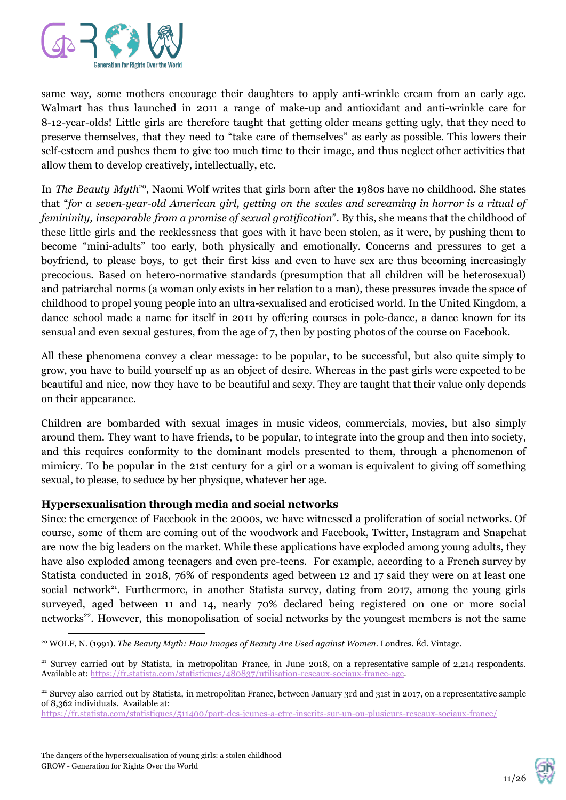

same way, some mothers encourage their daughters to apply anti-wrinkle cream from an early age. Walmart has thus launched in 2011 a range of make-up and antioxidant and anti-wrinkle care for 8-12-year-olds! Little girls are therefore taught that getting older means getting ugly, that they need to preserve themselves, that they need to "take care of themselves" as early as possible. This lowers their self-esteem and pushes them to give too much time to their image, and thus neglect other activities that allow them to develop creatively, intellectually, etc.

In *The Beauty Myth<sup>20</sup>*, Naomi Wolf writes that girls born after the 1980s have no childhood. She states that "*for a seven-year-old American girl, getting on the scales and screaming in horror is a ritual of femininity, inseparable from a promise of sexual gratification*". By this, she means that the childhood of these little girls and the recklessness that goes with it have been stolen, as it were, by pushing them to become "mini-adults" too early, both physically and emotionally. Concerns and pressures to get a boyfriend, to please boys, to get their first kiss and even to have sex are thus becoming increasingly precocious. Based on hetero-normative standards (presumption that all children will be heterosexual) and patriarchal norms (a woman only exists in her relation to a man), these pressures invade the space of childhood to propel young people into an ultra-sexualised and eroticised world. In the United Kingdom, a dance school made a name for itself in 2011 by offering courses in pole-dance, a dance known for its sensual and even sexual gestures, from the age of 7, then by posting photos of the course on Facebook.

All these phenomena convey a clear message: to be popular, to be successful, but also quite simply to grow, you have to build yourself up as an object of desire. Whereas in the past girls were expected to be beautiful and nice, now they have to be beautiful and sexy. They are taught that their value only depends on their appearance.

Children are bombarded with sexual images in music videos, commercials, movies, but also simply around them. They want to have friends, to be popular, to integrate into the group and then into society, and this requires conformity to the dominant models presented to them, through a phenomenon of mimicry. To be popular in the 21st century for a girl or a woman is equivalent to giving off something sexual, to please, to seduce by her physique, whatever her age.

#### **Hypersexualisation through media and social networks**

Since the emergence of Facebook in the 2000s, we have witnessed a proliferation of social networks. Of course, some of them are coming out of the woodwork and Facebook, Twitter, Instagram and Snapchat are now the big leaders on the market. While these applications have exploded among young adults, they have also exploded among teenagers and even pre-teens. For example, according to a French survey by Statista conducted in 2018, 76% of respondents aged between 12 and 17 said they were on at least one social network<sup>21</sup>. Furthermore, in another Statista survey, dating from 2017, among the young girls surveyed, aged between 11 and 14, nearly 70% declared being registered on one or more social networks<sup>22</sup>. However, this monopolisation of social networks by the youngest members is not the same



<sup>20</sup> WOLF, N. (1991). *The Beauty Myth: How Images of Beauty Are Used against Women*. Londres. Éd. Vintage.

<sup>&</sup>lt;sup>21</sup> Survey carried out by Statista, in metropolitan France, in June 2018, on a representative sample of 2,214 respondents. Available at: [https://fr.statista.com/statistiques/480837/utilisation-reseaux-sociaux-france-age.](https://fr.statista.com/statistiques/480837/utilisation-reseaux-sociaux-france-age/)

<sup>&</sup>lt;sup>22</sup> Survey also carried out by Statista, in metropolitan France, between January 3rd and 31st in 2017, on a representative sample of 8,362 individuals. Available at:

<https://fr.statista.com/statistiques/511400/part-des-jeunes-a-etre-inscrits-sur-un-ou-plusieurs-reseaux-sociaux-france/>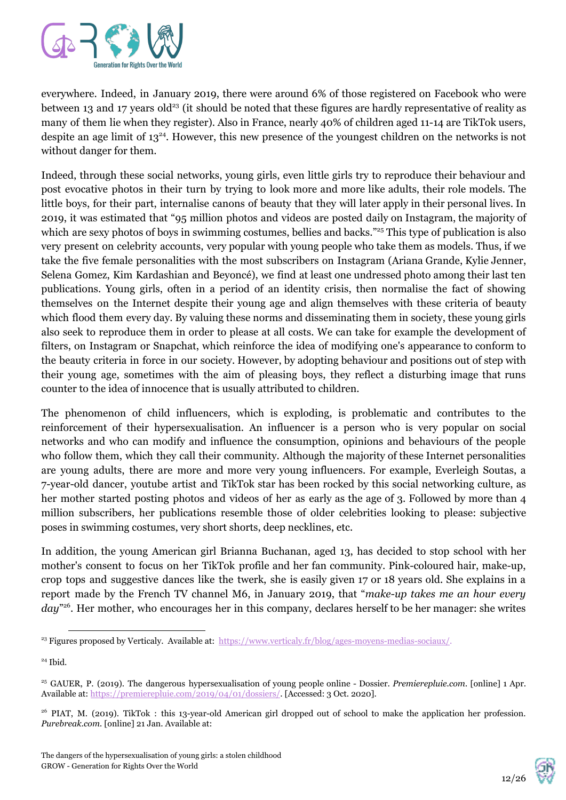

everywhere. Indeed, in January 2019, there were around 6% of those registered on Facebook who were between 13 and 17 years old<sup>23</sup> (it should be noted that these figures are hardly representative of reality as many of them lie when they register). Also in France, nearly 40% of children aged 11-14 are TikTok users, despite an age limit of  $13^{24}$ . However, this new presence of the youngest children on the networks is not without danger for them.

Indeed, through these social networks, young girls, even little girls try to reproduce their behaviour and post evocative photos in their turn by trying to look more and more like adults, their role models. The little boys, for their part, internalise canons of beauty that they will later apply in their personal lives. In 2019, it was estimated that "95 million photos and videos are posted daily on Instagram, the majority of which are sexy photos of boys in swimming costumes, bellies and backs."<sup>25</sup> This type of publication is also very present on celebrity accounts, very popular with young people who take them as models. Thus, if we take the five female personalities with the most subscribers on Instagram (Ariana Grande, Kylie Jenner, Selena Gomez, Kim Kardashian and Beyoncé), we find at least one undressed photo among their last ten publications. Young girls, often in a period of an identity crisis, then normalise the fact of showing themselves on the Internet despite their young age and align themselves with these criteria of beauty which flood them every day. By valuing these norms and disseminating them in society, these young girls also seek to reproduce them in order to please at all costs. We can take for example the development of filters, on Instagram or Snapchat, which reinforce the idea of modifying one's appearance to conform to the beauty criteria in force in our society. However, by adopting behaviour and positions out of step with their young age, sometimes with the aim of pleasing boys, they reflect a disturbing image that runs counter to the idea of innocence that is usually attributed to children.

The phenomenon of child influencers, which is exploding, is problematic and contributes to the reinforcement of their hypersexualisation. An influencer is a person who is very popular on social networks and who can modify and influence the consumption, opinions and behaviours of the people who follow them, which they call their community. Although the majority of these Internet personalities are young adults, there are more and more very young influencers. For example, Everleigh Soutas, a 7-year-old dancer, youtube artist and TikTok star has been rocked by this social networking culture, as her mother started posting photos and videos of her as early as the age of 3. Followed by more than 4 million subscribers, her publications resemble those of older celebrities looking to please: subjective poses in swimming costumes, very short shorts, deep necklines, etc.

In addition, the young American girl Brianna Buchanan, aged 13, has decided to stop school with her mother's consent to focus on her TikTok profile and her fan community. Pink-coloured hair, make-up, crop tops and suggestive dances like the twerk, she is easily given 17 or 18 years old. She explains in a report made by the French TV channel M6, in January 2019, that "*make-up takes me an hour every* day<sup>"26</sup>. Her mother, who encourages her in this company, declares herself to be her manager: she writes



<sup>&</sup>lt;sup>23</sup> Figures proposed by Verticaly. Available at: [https://www.verticaly.fr/blog/ages-moyens-medias-sociaux/.](https://www.verticaly.fr/blog/ages-moyens-medias-sociaux/)

<sup>24</sup> Ibid.

<sup>25</sup> GAUER, P. (2019). The dangerous hypersexualisation of young people online - Dossier. *Premierepluie.com.* [online] 1 Apr. Available at: <https://premierepluie.com/2019/04/01/dossiers/>. [Accessed: 3 Oct. 2020].

<sup>&</sup>lt;sup>26</sup> PIAT, M. (2019). TikTok : this 13-year-old American girl dropped out of school to make the application her profession. *Purebreak.com.* [online] 21 Jan. Available at: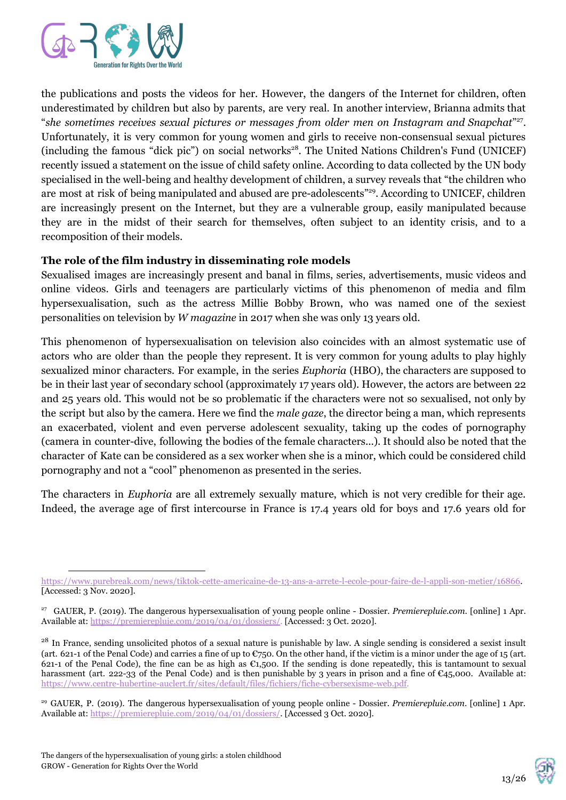

the publications and posts the videos for her. However, the dangers of the Internet for children, often underestimated by children but also by parents, are very real. In another interview, Brianna admits that "*she sometimes receives sexual pictures or messages from older men on Instagram and Snapchat*" . 27 Unfortunately, it is very common for young women and girls to receive non-consensual sexual pictures (including the famous "dick pic") on social networks<sup>28</sup>. The United Nations Children's Fund (UNICEF) recently issued a statement on the issue of child safety online. According to data collected by the UN body specialised in the well-being and healthy development of children, a survey reveals that "the children who are most at risk of being manipulated and abused are pre-adolescents"<sup>29</sup>. According to UNICEF, children are increasingly present on the Internet, but they are a vulnerable group, easily manipulated because they are in the midst of their search for themselves, often subject to an identity crisis, and to a recomposition of their models.

#### **The role of the film industry in disseminating role models**

Sexualised images are increasingly present and banal in films, series, advertisements, music videos and online videos. Girls and teenagers are particularly victims of this phenomenon of media and film hypersexualisation, such as the actress Millie Bobby Brown, who was named one of the sexiest personalities on television by *W magazine* in 2017 when she was only 13 years old.

This phenomenon of hypersexualisation on television also coincides with an almost systematic use of actors who are older than the people they represent. It is very common for young adults to play highly sexualized minor characters. For example, in the series *Euphoria* (HBO), the characters are supposed to be in their last year of secondary school (approximately 17 years old). However, the actors are between 22 and 25 years old. This would not be so problematic if the characters were not so sexualised, not only by the script but also by the camera. Here we find the *male gaze*, the director being a man, which represents an exacerbated, violent and even perverse adolescent sexuality, taking up the codes of pornography (camera in counter-dive, following the bodies of the female characters...). It should also be noted that the character of Kate can be considered as a sex worker when she is a minor, which could be considered child pornography and not a "cool" phenomenon as presented in the series.

The characters in *Euphoria* are all extremely sexually mature, which is not very credible for their age. Indeed, the average age of first intercourse in France is 17.4 years old for boys and 17.6 years old for



[https://www.purebreak.com/news/tiktok-cette-americaine-de-13-ans-a-arrete-l-ecole-pour-faire-de-l-appli-son-metier/16866](https://www.purebreak.com/news/tiktok-cette-americaine-de-13-ans-a-arrete-l-ecole-pour-faire-de-l-appli-son-metier/168667). [Accessed: 3 Nov. 2020].

<sup>27</sup> GAUER, P. (2019). The dangerous hypersexualisation of young people online - Dossier. *Premierepluie.com*. [online] 1 Apr. Available at: <https://premierepluie.com/2019/04/01/dossiers/>. [Accessed: 3 Oct. 2020].

<sup>&</sup>lt;sup>28</sup> In France, sending unsolicited photos of a sexual nature is punishable by law. A single sending is considered a sexist insult (art. 621-1 of the Penal Code) and carries a fine of up to  $\mathfrak{C}750$ . On the other hand, if the victim is a minor under the age of 15 (art. 621-1 of the Penal Code), the fine can be as high as  $\epsilon_{1,500}$ . If the sending is done repeatedly, this is tantamount to sexual harassment (art. 222-33 of the Penal Code) and is then punishable by 3 years in prison and a fine of  $\epsilon_{45}$ ,000. Available at: [https://www.centre-hubertine-auclert.fr/sites/default/files/fichiers/fiche-cybersexisme-web.pdf.](https://www.centre-hubertine-auclert.fr/sites/default/files/fichiers/fiche-cybersexisme-web.pdf)

<sup>29</sup> GAUER, P. (2019). The dangerous hypersexualisation of young people online - Dossier. *Premierepluie.com*. [online] 1 Apr. Available at:<https://premierepluie.com/2019/04/01/dossiers/>. [Accessed 3 Oct. 2020].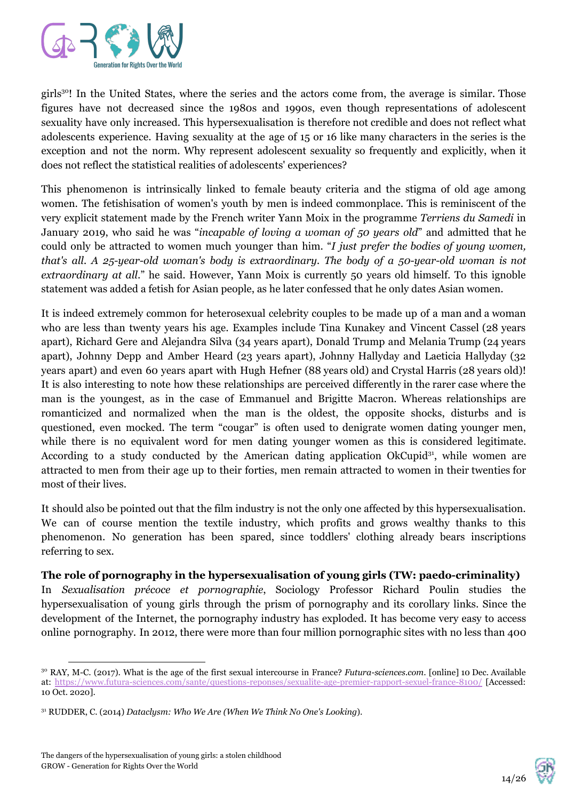

girls<sup>30</sup>! In the United States, where the series and the actors come from, the average is similar. Those figures have not decreased since the 1980s and 1990s, even though representations of adolescent sexuality have only increased. This hypersexualisation is therefore not credible and does not reflect what adolescents experience. Having sexuality at the age of 15 or 16 like many characters in the series is the exception and not the norm. Why represent adolescent sexuality so frequently and explicitly, when it does not reflect the statistical realities of adolescents' experiences?

This phenomenon is intrinsically linked to female beauty criteria and the stigma of old age among women. The fetishisation of women's youth by men is indeed commonplace. This is reminiscent of the very explicit statement made by the French writer Yann Moix in the programme *Terriens du Samedi* in January 2019, who said he was "*incapable of loving a woman of 50 years old*" and admitted that he could only be attracted to women much younger than him. "*I just prefer the bodies of young women, that's all. A 25-year-old woman's body is extraordinary. The body of a 50-year-old woman is not extraordinary at all*." he said. However, Yann Moix is currently 50 years old himself. To this ignoble statement was added a fetish for Asian people, as he later confessed that he only dates Asian women.

It is indeed extremely common for heterosexual celebrity couples to be made up of a man and a woman who are less than twenty years his age. Examples include Tina Kunakey and Vincent Cassel (28 years apart), Richard Gere and Alejandra Silva (34 years apart), Donald Trump and Melania Trump (24 years apart), Johnny Depp and Amber Heard (23 years apart), Johnny Hallyday and Laeticia Hallyday (32 years apart) and even 60 years apart with Hugh Hefner (88 years old) and Crystal Harris (28 years old)! It is also interesting to note how these relationships are perceived differently in the rarer case where the man is the youngest, as in the case of Emmanuel and Brigitte Macron. Whereas relationships are romanticized and normalized when the man is the oldest, the opposite shocks, disturbs and is questioned, even mocked. The term "cougar" is often used to denigrate women dating younger men, while there is no equivalent word for men dating younger women as this is considered legitimate. According to a study conducted by the American dating application OkCupid<sup>31</sup>, while women are attracted to men from their age up to their forties, men remain attracted to women in their twenties for most of their lives.

It should also be pointed out that the film industry is not the only one affected by this hypersexualisation. We can of course mention the textile industry, which profits and grows wealthy thanks to this phenomenon. No generation has been spared, since toddlers' clothing already bears inscriptions referring to sex.

#### **The role of pornography in the hypersexualisation of young girls (TW: paedo-criminality)**

In *Sexualisation précoce et pornographie*, Sociology Professor Richard Poulin studies the hypersexualisation of young girls through the prism of pornography and its corollary links. Since the development of the Internet, the pornography industry has exploded. It has become very easy to access online pornography. In 2012, there were more than four million pornographic sites with no less than 400



<sup>30</sup> RAY, M-C. (2017). What is the age of the first sexual intercourse in France? *Futura-sciences.com*. [online] 10 Dec. Available at: <https://www.futura-sciences.com/sante/questions-reponses/sexualite-age-premier-rapport-sexuel-france-8100/> [Accessed: 10 Oct. 2020].

<sup>31</sup> RUDDER, C. (2014) *Dataclysm: Who We Are (When We Think No One's Looking*).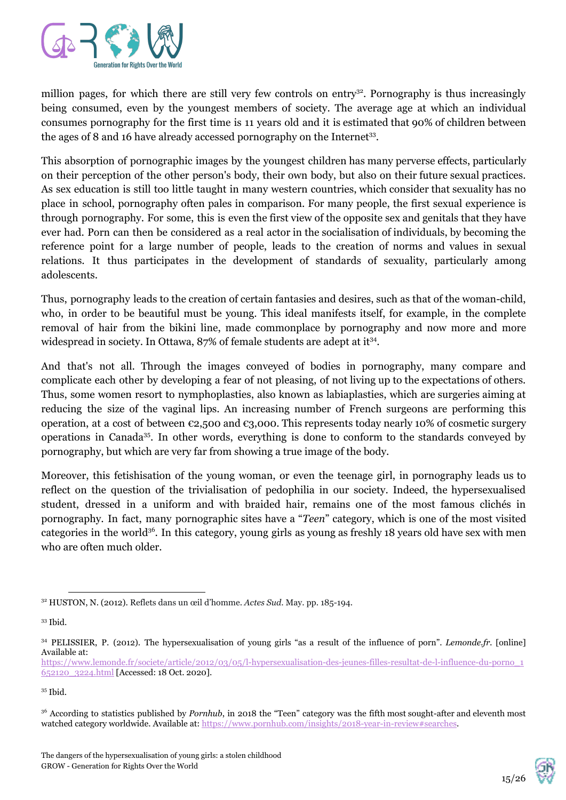

million pages, for which there are still very few controls on entry<sup>32</sup>. Pornography is thus increasingly being consumed, even by the youngest members of society. The average age at which an individual consumes pornography for the first time is 11 years old and it is estimated that 90% of children between the ages of 8 and 16 have already accessed pornography on the Internet<sup>33</sup>.

This absorption of pornographic images by the youngest children has many perverse effects, particularly on their perception of the other person's body, their own body, but also on their future sexual practices. As sex education is still too little taught in many western countries, which consider that sexuality has no place in school, pornography often pales in comparison. For many people, the first sexual experience is through pornography. For some, this is even the first view of the opposite sex and genitals that they have ever had. Porn can then be considered as a real actor in the socialisation of individuals, by becoming the reference point for a large number of people, leads to the creation of norms and values in sexual relations. It thus participates in the development of standards of sexuality, particularly among adolescents.

Thus, pornography leads to the creation of certain fantasies and desires, such as that of the woman-child, who, in order to be beautiful must be young. This ideal manifests itself, for example, in the complete removal of hair from the bikini line, made commonplace by pornography and now more and more widespread in society. In Ottawa,  $87\%$  of female students are adept at it<sup>34</sup>.

And that's not all. Through the images conveyed of bodies in pornography, many compare and complicate each other by developing a fear of not pleasing, of not living up to the expectations of others. Thus, some women resort to nymphoplasties, also known as labiaplasties, which are surgeries aiming at reducing the size of the vaginal lips. An increasing number of French surgeons are performing this operation, at a cost of between  $\epsilon_{2,5}$ 00 and  $\epsilon_{3,0}$ 00. This represents today nearly 10% of cosmetic surgery operations in Canada<sup>35</sup>. In other words, everything is done to conform to the standards conveyed by pornography, but which are very far from showing a true image of the body.

Moreover, this fetishisation of the young woman, or even the teenage girl, in pornography leads us to reflect on the question of the trivialisation of pedophilia in our society. Indeed, the hypersexualised student, dressed in a uniform and with braided hair, remains one of the most famous clichés in pornography. In fact, many pornographic sites have a "*Teen*" category, which is one of the most visited categories in the world<sup>36</sup>. In this category, young girls as young as freshly 18 years old have sex with men who are often much older.



<sup>32</sup> HUSTON, N. (2012). Reflets dans un œil d'homme. *Actes Sud*. May. pp. 185-194.

<sup>33</sup> Ibid.

<sup>34</sup> PELISSIER, P. (2012). The hypersexualisation of young girls "as a result of the influence of porn". *Lemonde.fr.* [online] Available at:

[https://www.lemonde.fr/societe/article/2012/03/05/l-hypersexualisation-des-jeunes-filles-resultat-de-l-influence-du-porno\\_1](https://www.lemonde.fr/societe/article/2012/03/05/l-hypersexualisation-des-jeunes-filles-resultat-de-l-influence-du-porno_1652120_3224.html) [652120\\_3224.html](https://www.lemonde.fr/societe/article/2012/03/05/l-hypersexualisation-des-jeunes-filles-resultat-de-l-influence-du-porno_1652120_3224.html) [Accessed: 18 Oct. 2020].

<sup>35</sup> Ibid.

<sup>&</sup>lt;sup>36</sup> According to statistics published by *Pornhub*, in 2018 the "Teen" category was the fifth most sought-after and eleventh most watched category worldwide. Available at:<https://www.pornhub.com/insights/2018-year-in-review#searches>.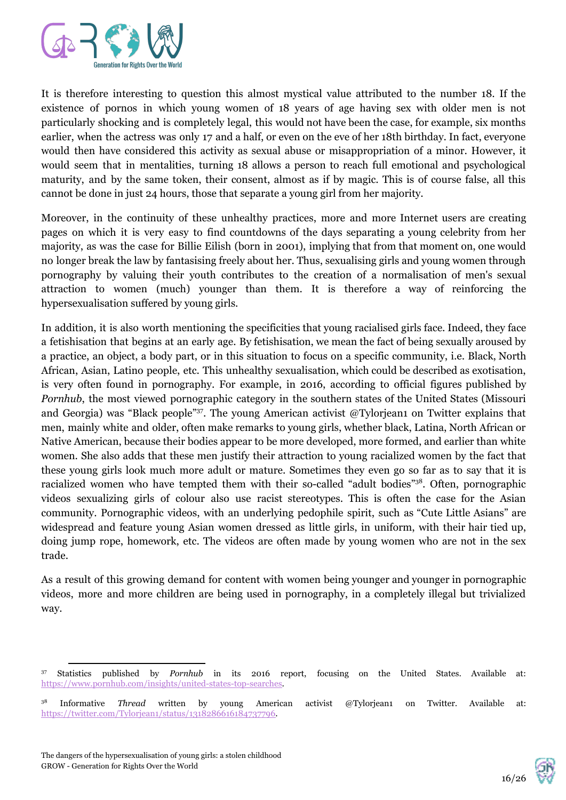

It is therefore interesting to question this almost mystical value attributed to the number 18. If the existence of pornos in which young women of 18 years of age having sex with older men is not particularly shocking and is completely legal, this would not have been the case, for example, six months earlier, when the actress was only 17 and a half, or even on the eve of her 18th birthday. In fact, everyone would then have considered this activity as sexual abuse or misappropriation of a minor. However, it would seem that in mentalities, turning 18 allows a person to reach full emotional and psychological maturity, and by the same token, their consent, almost as if by magic. This is of course false, all this cannot be done in just 24 hours, those that separate a young girl from her majority.

Moreover, in the continuity of these unhealthy practices, more and more Internet users are creating pages on which it is very easy to find countdowns of the days separating a young celebrity from her majority, as was the case for Billie Eilish (born in 2001), implying that from that moment on, one would no longer break the law by fantasising freely about her. Thus, sexualising girls and young women through pornography by valuing their youth contributes to the creation of a normalisation of men's sexual attraction to women (much) younger than them. It is therefore a way of reinforcing the hypersexualisation suffered by young girls.

In addition, it is also worth mentioning the specificities that young racialised girls face. Indeed, they face a fetishisation that begins at an early age. By fetishisation, we mean the fact of being sexually aroused by a practice, an object, a body part, or in this situation to focus on a specific community, i.e. Black, North African, Asian, Latino people, etc. This unhealthy sexualisation, which could be described as exotisation, is very often found in pornography. For example, in 2016, according to official figures published by *Pornhub*, the most viewed pornographic category in the southern states of the United States (Missouri and Georgia) was "Black people"<sup>37</sup>. The young American activist @Tylorjean1 on Twitter explains that men, mainly white and older, often make remarks to young girls, whether black, Latina, North African or Native American, because their bodies appear to be more developed, more formed, and earlier than white women. She also adds that these men justify their attraction to young racialized women by the fact that these young girls look much more adult or mature. Sometimes they even go so far as to say that it is racialized women who have tempted them with their so-called "adult bodies"<sup>38</sup>. Often, pornographic videos sexualizing girls of colour also use racist stereotypes. This is often the case for the Asian community. Pornographic videos, with an underlying pedophile spirit, such as "Cute Little Asians" are widespread and feature young Asian women dressed as little girls, in uniform, with their hair tied up, doing jump rope, homework, etc. The videos are often made by young women who are not in the sex trade.

As a result of this growing demand for content with women being younger and younger in pornographic videos, more and more children are being used in pornography, in a completely illegal but trivialized way.



<sup>37</sup> Statistics published by *Pornhub* in its 2016 report, focusing on the United States. Available at: <https://www.pornhub.com/insights/united-states-top-searches>.

<sup>38</sup> Informative *Thread* written by young American activist @Tylorjean1 on Twitter. Available at: https://twitter.com/Tylorjean1/status/1318286616184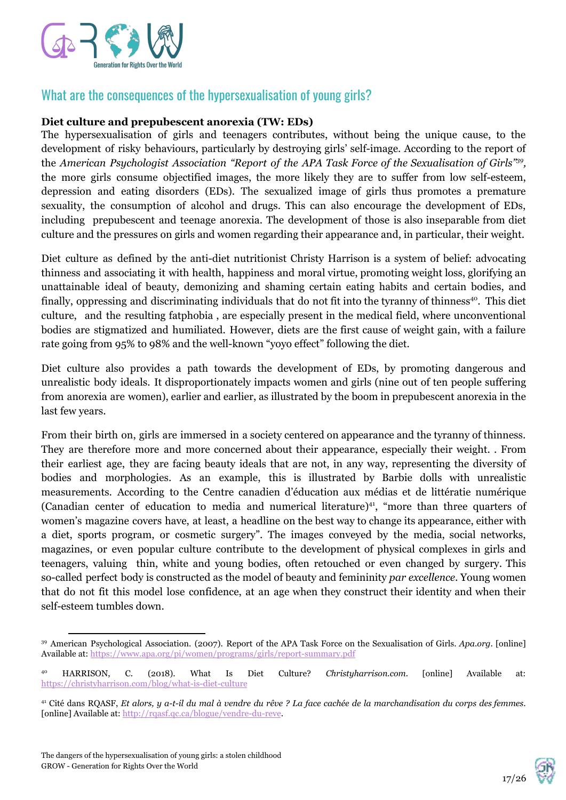

# What are the consequences of the hypersexualisation of young girls?

#### **Diet culture and prepubescent anorexia (TW: EDs)**

The hypersexualisation of girls and teenagers contributes, without being the unique cause, to the development of risky behaviours, particularly by destroying girls' self-image. According to the report of the *American Psychologist Association "Report of the APA Task Force of the Sexualisation of Girls" , 39* the more girls consume objectified images, the more likely they are to suffer from low self-esteem, depression and eating disorders (EDs). The sexualized image of girls thus promotes a premature sexuality, the consumption of alcohol and drugs. This can also encourage the development of EDs, including prepubescent and teenage anorexia. The development of those is also inseparable from diet culture and the pressures on girls and women regarding their appearance and, in particular, their weight.

Diet culture as defined by the anti-diet nutritionist Christy Harrison is a system of belief: advocating thinness and associating it with health, happiness and moral virtue, promoting weight loss, glorifying an unattainable ideal of beauty, demonizing and shaming certain eating habits and certain bodies, and finally, oppressing and discriminating individuals that do not fit into the tyranny of thinness<sup>40</sup>. This diet culture, and the resulting fatphobia , are especially present in the medical field, where unconventional bodies are stigmatized and humiliated. However, diets are the first cause of weight gain, with a failure rate going from 95% to 98% and the well-known "yoyo effect" following the diet.

Diet culture also provides a path towards the development of EDs, by promoting dangerous and unrealistic body ideals. It disproportionately impacts women and girls (nine out of ten people suffering from anorexia are women), earlier and earlier, as illustrated by the boom in prepubescent anorexia in the last few years.

From their birth on, girls are immersed in a society centered on appearance and the tyranny of thinness. They are therefore more and more concerned about their appearance, especially their weight. . From their earliest age, they are facing beauty ideals that are not, in any way, representing the diversity of bodies and morphologies. As an example, this is illustrated by Barbie dolls with unrealistic measurements. According to the Centre canadien d'éducation aux médias et de littératie numérique (Canadian center of education to media and numerical literature) $4$ , "more than three quarters of women's magazine covers have, at least, a headline on the best way to change its appearance, either with a diet, sports program, or cosmetic surgery". The images conveyed by the media, social networks, magazines, or even popular culture contribute to the development of physical complexes in girls and teenagers, valuing thin, white and young bodies, often retouched or even changed by surgery. This so-called perfect body is constructed as the model of beauty and femininity *par excellence*. Young women that do not fit this model lose confidence, at an age when they construct their identity and when their self-esteem tumbles down.



<sup>39</sup> American Psychological Association. (2007). Report of the APA Task Force on the Sexualisation of Girls. *Apa.org*. [online] Available at:<https://www.apa.org/pi/women/programs/girls/report-summary.pdf>

<sup>40</sup> HARRISON, C. (2018). What Is Diet Culture? *Christyharrison.com.* [online] Available at: <https://christyharrison.com/blog/what-is-diet-culture>

<sup>&</sup>lt;sup>41</sup> Cité dans RQASF, Et alors, y a-t-il du mal à vendre du rêve ? La face cachée de la marchandisation du corps des femmes. [online] Available at:<http://rqasf.qc.ca/blogue/vendre-du-reve>.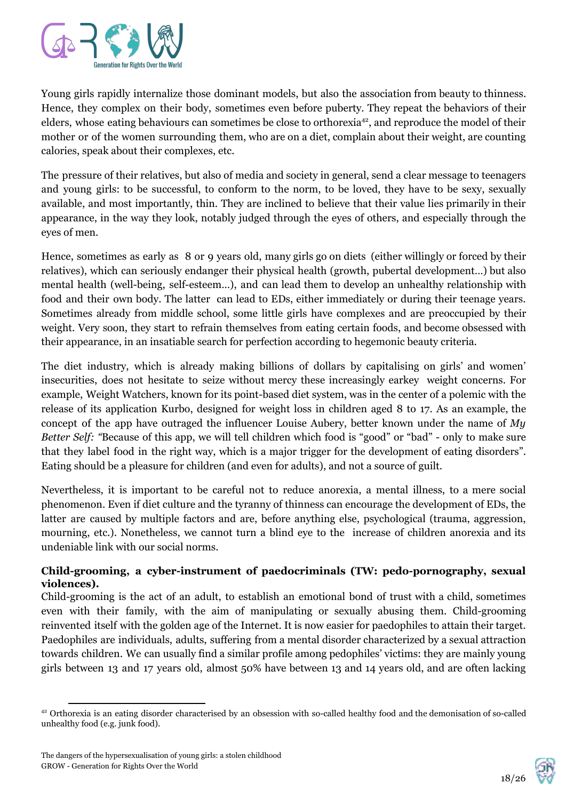

Young girls rapidly internalize those dominant models, but also the association from beauty to thinness. Hence, they complex on their body, sometimes even before puberty. They repeat the behaviors of their elders, whose eating behaviours can sometimes be close to orthorexia<sup>42</sup>, and reproduce the model of their mother or of the women surrounding them, who are on a diet, complain about their weight, are counting calories, speak about their complexes, etc.

The pressure of their relatives, but also of media and society in general, send a clear message to teenagers and young girls: to be successful, to conform to the norm, to be loved, they have to be sexy, sexually available, and most importantly, thin. They are inclined to believe that their value lies primarily in their appearance, in the way they look, notably judged through the eyes of others, and especially through the eyes of men.

Hence, sometimes as early as 8 or 9 years old, many girls go on diets (either willingly or forced by their relatives), which can seriously endanger their physical health (growth, pubertal development…) but also mental health (well-being, self-esteem…), and can lead them to develop an unhealthy relationship with food and their own body. The latter can lead to EDs, either immediately or during their teenage years. Sometimes already from middle school, some little girls have complexes and are preoccupied by their weight. Very soon, they start to refrain themselves from eating certain foods, and become obsessed with their appearance, in an insatiable search for perfection according to hegemonic beauty criteria.

The diet industry, which is already making billions of dollars by capitalising on girls' and women' insecurities, does not hesitate to seize without mercy these increasingly earkey weight concerns. For example, Weight Watchers, known for its point-based diet system, was in the center of a polemic with the release of its application Kurbo, designed for weight loss in children aged 8 to 17. As an example, the concept of the app have outraged the influencer Louise Aubery, better known under the name of *My Better Self: "*Because of this app, we will tell children which food is "good" or "bad" - only to make sure that they label food in the right way, which is a major trigger for the development of eating disorders". Eating should be a pleasure for children (and even for adults), and not a source of guilt.

Nevertheless, it is important to be careful not to reduce anorexia, a mental illness, to a mere social phenomenon. Even if diet culture and the tyranny of thinness can encourage the development of EDs, the latter are caused by multiple factors and are, before anything else, psychological (trauma, aggression, mourning, etc.). Nonetheless, we cannot turn a blind eye to the increase of children anorexia and its undeniable link with our social norms.

#### **Child-grooming, a cyber-instrument of paedocriminals (TW: pedo-pornography, sexual violences).**

Child-grooming is the act of an adult, to establish an emotional bond of trust with a child, sometimes even with their family, with the aim of manipulating or sexually abusing them. Child-grooming reinvented itself with the golden age of the Internet. It is now easier for paedophiles to attain their target. Paedophiles are individuals, adults, suffering from a mental disorder characterized by a sexual attraction towards children. We can usually find a similar profile among pedophiles' victims: they are mainly young girls between 13 and 17 years old, almost 50% have between 13 and 14 years old, and are often lacking



<sup>42</sup> Orthorexia is an eating disorder characterised by an obsession with so-called healthy food and the demonisation of so-called unhealthy food (e.g. junk food).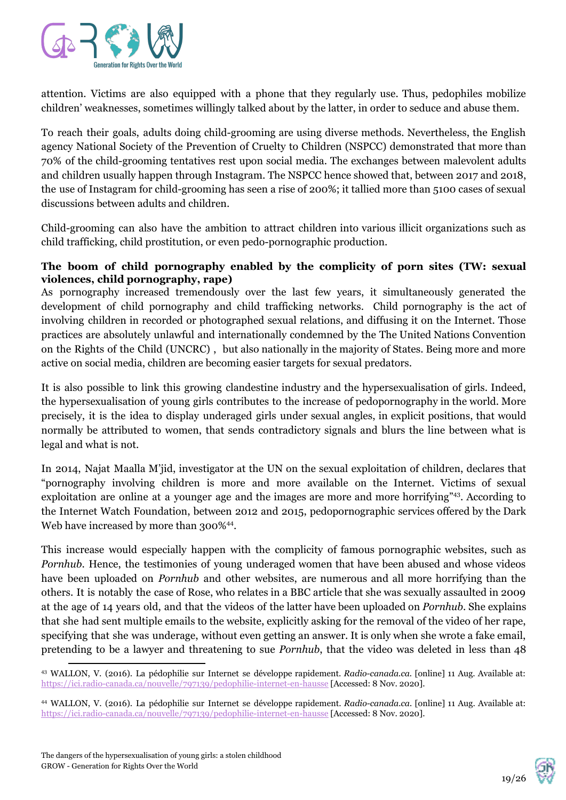

attention. Victims are also equipped with a phone that they regularly use. Thus, pedophiles mobilize children' weaknesses, sometimes willingly talked about by the latter, in order to seduce and abuse them.

To reach their goals, adults doing child-grooming are using diverse methods. Nevertheless, the English agency National Society of the Prevention of Cruelty to Children (NSPCC) demonstrated that more than 70% of the child-grooming tentatives rest upon social media. The exchanges between malevolent adults and children usually happen through Instagram. The NSPCC hence showed that, between 2017 and 2018, the use of Instagram for child-grooming has seen a rise of 200%; it tallied more than 5100 cases of sexual discussions between adults and children.

Child-grooming can also have the ambition to attract children into various illicit organizations such as child trafficking, child prostitution, or even pedo-pornographic production.

#### **The boom of child pornography enabled by the complicity of porn sites (TW: sexual violences, child pornography, rape)**

As pornography increased tremendously over the last few years, it simultaneously generated the development of child pornography and child trafficking networks. Child pornography is the act of involving children in recorded or photographed sexual relations, and diffusing it on the Internet. Those practices are absolutely unlawful and internationally condemned by the The United Nations Convention on the Rights of the Child (UNCRC) , but also nationally in the majority of States. Being more and more active on social media, children are becoming easier targets for sexual predators.

It is also possible to link this growing clandestine industry and the hypersexualisation of girls. Indeed, the hypersexualisation of young girls contributes to the increase of pedopornography in the world. More precisely, it is the idea to display underaged girls under sexual angles, in explicit positions, that would normally be attributed to women, that sends contradictory signals and blurs the line between what is legal and what is not.

In 2014, Najat Maalla M'jid, investigator at the UN on the sexual exploitation of children, declares that "pornography involving children is more and more available on the Internet. Victims of sexual exploitation are online at a younger age and the images are more and more horrifying"<sup>43</sup>. According to the Internet Watch Foundation, between 2012 and 2015, pedopornographic services offered by the Dark Web have increased by more than 300%<sup>44</sup>.

This increase would especially happen with the complicity of famous pornographic websites, such as *Pornhub*. Hence, the testimonies of young underaged women that have been abused and whose videos have been uploaded on *Pornhub* and other websites, are numerous and all more horrifying than the others. It is notably the case of Rose, who relates in a BBC article that she was sexually assaulted in 2009 at the age of 14 years old, and that the videos of the latter have been uploaded on *Pornhub*. She explains that she had sent multiple emails to the website, explicitly asking for the removal of the video of her rape, specifying that she was underage, without even getting an answer. It is only when she wrote a fake email, pretending to be a lawyer and threatening to sue *Pornhub*, that the video was deleted in less than 48



<sup>43</sup> WALLON, V. (2016). La pédophilie sur Internet se développe rapidement. *Radio-canada.ca.* [online] 11 Aug. Available at: <https://ici.radio-canada.ca/nouvelle/797139/pedophilie-internet-en-hausse>[Accessed: 8 Nov. 2020].

<sup>44</sup> WALLON, V. (2016). La pédophilie sur Internet se développe rapidement. *Radio-canada.ca.* [online] 11 Aug. Available at: <https://ici.radio-canada.ca/nouvelle/797139/pedophilie-internet-en-hausse>[Accessed: 8 Nov. 2020].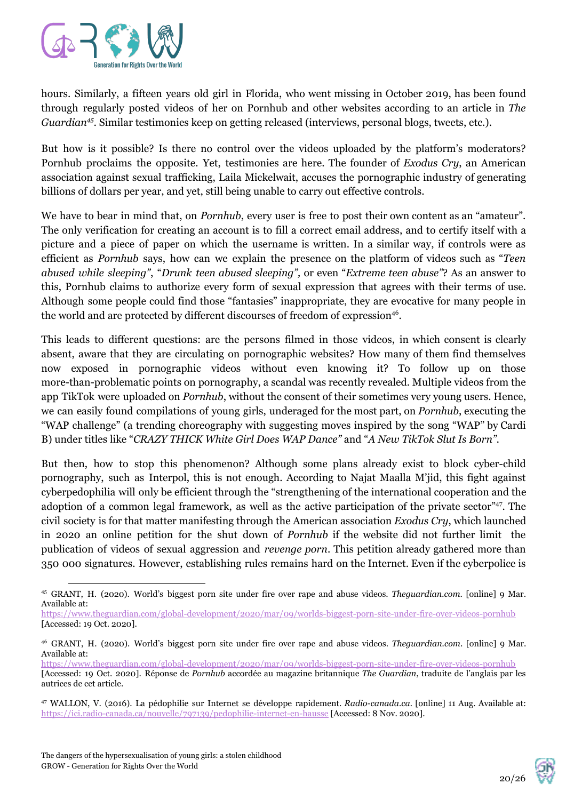

hours. Similarly, a fifteen years old girl in Florida, who went missing in October 2019, has been found through regularly posted videos of her on Pornhub and other websites according to an article in *The Guardian<sup>45</sup>*. Similar testimonies keep on getting released (interviews, personal blogs, tweets, etc.).

But how is it possible? Is there no control over the videos uploaded by the platform's moderators? Pornhub proclaims the opposite. Yet, testimonies are here. The founder of *Exodus Cry*, an American association against sexual trafficking, Laila Mickelwait, accuses the pornographic industry of generating billions of dollars per year, and yet, still being unable to carry out effective controls.

We have to bear in mind that, on *Pornhub*, every user is free to post their own content as an "amateur". The only verification for creating an account is to fill a correct email address, and to certify itself with a picture and a piece of paper on which the username is written. In a similar way, if controls were as efficient as *Pornhub* says, how can we explain the presence on the platform of videos such as "*Teen abused while sleeping"*, "*Drunk teen abused sleeping",* or even "*Extreme teen abuse"*? As an answer to this, Pornhub claims to authorize every form of sexual expression that agrees with their terms of use. Although some people could find those "fantasies" inappropriate, they are evocative for many people in the world and are protected by different discourses of freedom of expression<sup>46</sup>.

This leads to different questions: are the persons filmed in those videos, in which consent is clearly absent, aware that they are circulating on pornographic websites? How many of them find themselves now exposed in pornographic videos without even knowing it? To follow up on those more-than-problematic points on pornography, a scandal was recently revealed. Multiple videos from the app TikTok were uploaded on *Pornhub*, without the consent of their sometimes very young users. Hence, we can easily found compilations of young girls, underaged for the most part, on *Pornhub*, executing the "WAP challenge" (a trending choreography with suggesting moves inspired by the song "WAP" by Cardi B) under titles like "*CRAZY THICK White Girl Does WAP Dance"* and "*A New TikTok Slut Is Born".*

But then, how to stop this phenomenon? Although some plans already exist to block cyber-child pornography, such as Interpol, this is not enough. According to Najat Maalla M'jid, this fight against cyberpedophilia will only be efficient through the "strengthening of the international cooperation and the adoption of a common legal framework, as well as the active participation of the private sector"47. The civil society is for that matter manifesting through the American association *Exodus Cry*, which launched in 2020 an online petition for the shut down of *Pornhub* if the website did not further limit the publication of videos of sexual aggression and *revenge porn*. This petition already gathered more than 350 000 signatures. However, establishing rules remains hard on the Internet. Even if the cyberpolice is



<sup>45</sup> GRANT, H. (2020). World's biggest porn site under fire over rape and abuse videos. *Theguardian.com*. [online] 9 Mar. Available at:

<https://www.theguardian.com/global-development/2020/mar/09/worlds-biggest-porn-site-under-fire-over-videos-pornhub> [Accessed: 19 Oct. 2020].

<sup>46</sup> GRANT, H. (2020). World's biggest porn site under fire over rape and abuse videos. *Theguardian.com*. [online] 9 Mar. Available at:

<https://www.theguardian.com/global-development/2020/mar/09/worlds-biggest-porn-site-under-fire-over-videos-pornhub> [Accessed: 19 Oct. 2020]. Réponse de *Pornhub* accordée au magazine britannique *The Guardian*, traduite de l'anglais par les autrices de cet article.

<sup>47</sup> WALLON, V. (2016). La pédophilie sur Internet se développe rapidement. *Radio-canada.ca.* [online] 11 Aug. Available at: <https://ici.radio-canada.ca/nouvelle/797139/pedophilie-internet-en-hausse>[Accessed: 8 Nov. 2020].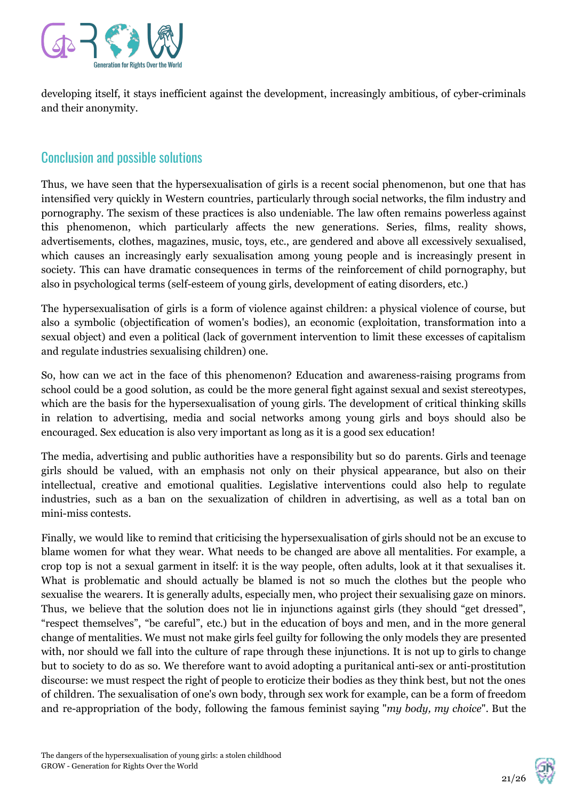

developing itself, it stays inefficient against the development, increasingly ambitious, of cyber-criminals and their anonymity.

## Conclusion and possible solutions

Thus, we have seen that the hypersexualisation of girls is a recent social phenomenon, but one that has intensified very quickly in Western countries, particularly through social networks, the film industry and pornography. The sexism of these practices is also undeniable. The law often remains powerless against this phenomenon, which particularly affects the new generations. Series, films, reality shows, advertisements, clothes, magazines, music, toys, etc., are gendered and above all excessively sexualised, which causes an increasingly early sexualisation among young people and is increasingly present in society. This can have dramatic consequences in terms of the reinforcement of child pornography, but also in psychological terms (self-esteem of young girls, development of eating disorders, etc.)

The hypersexualisation of girls is a form of violence against children: a physical violence of course, but also a symbolic (objectification of women's bodies), an economic (exploitation, transformation into a sexual object) and even a political (lack of government intervention to limit these excesses of capitalism and regulate industries sexualising children) one.

So, how can we act in the face of this phenomenon? Education and awareness-raising programs from school could be a good solution, as could be the more general fight against sexual and sexist stereotypes, which are the basis for the hypersexualisation of young girls. The development of critical thinking skills in relation to advertising, media and social networks among young girls and boys should also be encouraged. Sex education is also very important as long as it is a good sex education!

The media, advertising and public authorities have a responsibility but so do parents. Girls and teenage girls should be valued, with an emphasis not only on their physical appearance, but also on their intellectual, creative and emotional qualities. Legislative interventions could also help to regulate industries, such as a ban on the sexualization of children in advertising, as well as a total ban on mini-miss contests.

Finally, we would like to remind that criticising the hypersexualisation of girls should not be an excuse to blame women for what they wear. What needs to be changed are above all mentalities. For example, a crop top is not a sexual garment in itself: it is the way people, often adults, look at it that sexualises it. What is problematic and should actually be blamed is not so much the clothes but the people who sexualise the wearers. It is generally adults, especially men, who project their sexualising gaze on minors. Thus, we believe that the solution does not lie in injunctions against girls (they should "get dressed", "respect themselves", "be careful", etc.) but in the education of boys and men, and in the more general change of mentalities. We must not make girls feel guilty for following the only models they are presented with, nor should we fall into the culture of rape through these injunctions. It is not up to girls to change but to society to do as so. We therefore want to avoid adopting a puritanical anti-sex or anti-prostitution discourse: we must respect the right of people to eroticize their bodies as they think best, but not the ones of children. The sexualisation of one's own body, through sex work for example, can be a form of freedom and re-appropriation of the body, following the famous feminist saying "*my body, my choice*". But the

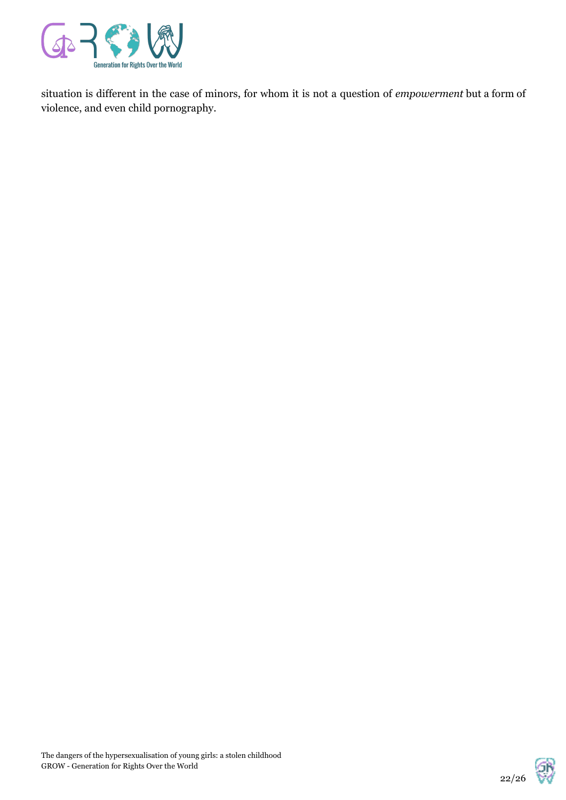

situation is different in the case of minors, for whom it is not a question of *empowerment* but a form of violence, and even child pornography.

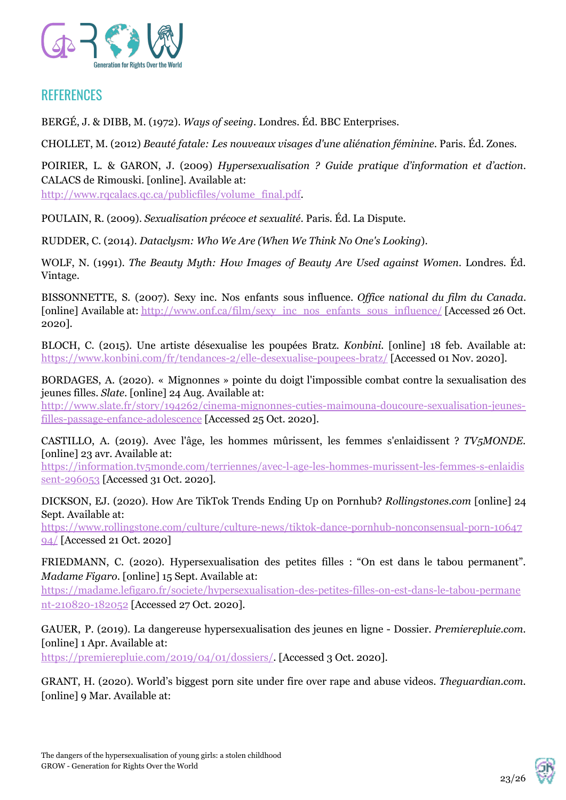

# **REFERENCES**

BERGÉ, J. & DIBB, M. (1972). *Ways of seeing.* Londres. Éd. BBC Enterprises.

CHOLLET, M. (2012) *Beauté fatale: Les nouveaux visages d'une aliénation féminine*. Paris. Éd. Zones.

POIRIER, L. & GARON, J. (2009) *Hypersexualisation ? Guide pratique d'information et d'action*. CALACS de Rimouski. [online]. Available at:

[http://www.rqcalacs.qc.ca/publicfiles/volume\\_final.pdf.](http://www.rqcalacs.qc.ca/publicfiles/volume_final.pdf)

POULAIN, R. (2009). *Sexualisation précoce et sexualité*. Paris. Éd. La Dispute.

RUDDER, C. (2014). *Dataclysm: Who We Are (When We Think No One's Looking*).

WOLF, N. (1991). *The Beauty Myth: How Images of Beauty Are Used against Women*. Londres. Éd. Vintage.

BISSONNETTE, S. (2007). Sexy inc. Nos enfants sous influence. *Of ice national du film du Canada*. [online] Available at: [http://www.onf.ca/film/sexy\\_inc\\_nos\\_enfants\\_sous\\_influence/](http://www.onf.ca/film/sexy_inc_nos_enfants_sous_influence/) [Accessed 26 Oct. 2020].

BLOCH, C. (2015). Une artiste désexualise les poupées Bratz. *Konbini.* [online] 18 feb. Available at: <https://www.konbini.com/fr/tendances-2/elle-desexualise-poupees-bratz/> [Accessed 01 Nov. 2020].

BORDAGES, A. (2020). « Mignonnes » pointe du doigt l'impossible combat contre la sexualisation des jeunes filles. *Slate*. [online] 24 Aug. Available at:

[http://www.slate.fr/story/194262/cinema-mignonnes-cuties-maimouna-doucoure-sexualisation-jeunes](http://www.slate.fr/story/194262/cinema-mignonnes-cuties-maimouna-doucoure-sexualisation-jeunes-filles-passage-enfance-adolescence)[filles-passage-enfance-adolescence](http://www.slate.fr/story/194262/cinema-mignonnes-cuties-maimouna-doucoure-sexualisation-jeunes-filles-passage-enfance-adolescence) [Accessed 25 Oct. 2020].

CASTILLO, A. (2019). Avec l'âge, les hommes mûrissent, les femmes s'enlaidissent ? *TV5MONDE*. [online] 23 avr. Available at:

[https://information.tv5monde.com/terriennes/avec-l-age-les-hommes-murissent-les-femmes-s-enlaidis](https://information.tv5monde.com/terriennes/avec-l-age-les-hommes-murissent-les-femmes-s-enlaidissent-296053) [sent-296053](https://information.tv5monde.com/terriennes/avec-l-age-les-hommes-murissent-les-femmes-s-enlaidissent-296053) [Accessed 31 Oct. 2020].

DICKSON, EJ. (2020). How Are TikTok Trends Ending Up on Pornhub? *Rollingstones.com* [online] 24 Sept. Available at:

[https://www.rollingstone.com/culture/culture-news/tiktok-dance-pornhub-nonconsensual-porn-10647](https://www.rollingstone.com/culture/culture-news/tiktok-dance-pornhub-nonconsensual-porn-1064794/) [94/](https://www.rollingstone.com/culture/culture-news/tiktok-dance-pornhub-nonconsensual-porn-1064794/) [Accessed 21 Oct. 2020]

FRIEDMANN, C. (2020). Hypersexualisation des petites filles : "On est dans le tabou permanent". *Madame Figaro*. [online] 15 Sept. Available at:

[https://madame.lefigaro.fr/societe/hypersexualisation-des-petites-filles-on-est-dans-le-tabou-permane](https://madame.lefigaro.fr/societe/hypersexualisation-des-petites-filles-on-est-dans-le-tabou-permanent-210820-182052) [nt-210820-182052](https://madame.lefigaro.fr/societe/hypersexualisation-des-petites-filles-on-est-dans-le-tabou-permanent-210820-182052) [Accessed 27 Oct. 2020].

GAUER, P. (2019). La dangereuse hypersexualisation des jeunes en ligne - Dossier. *Premierepluie.com.* [online] 1 Apr. Available at:

<https://premierepluie.com/2019/04/01/dossiers/>. [Accessed 3 Oct. 2020].

GRANT, H. (2020). World's biggest porn site under fire over rape and abuse videos. *Theguardian.com.* [online] 9 Mar. Available at:

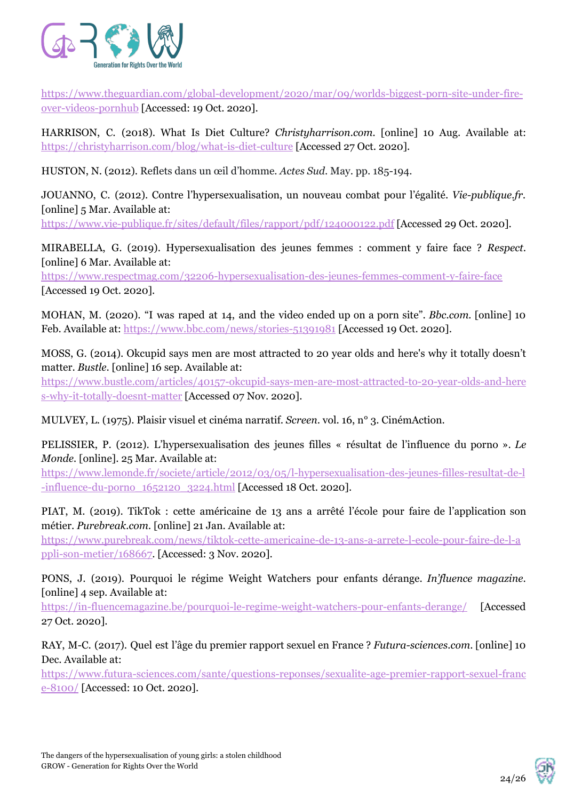

[https://www.theguardian.com/global-development/2020/mar/09/worlds-biggest-porn-site-under-fire](https://www.theguardian.com/global-development/2020/mar/09/worlds-biggest-porn-site-under-fire-over-videos-pornhub)[over-videos-pornhub](https://www.theguardian.com/global-development/2020/mar/09/worlds-biggest-porn-site-under-fire-over-videos-pornhub) [Accessed: 19 Oct. 2020].

HARRISON, C. (2018). What Is Diet Culture? *Christyharrison.com.* [online] 10 Aug. Available at: <https://christyharrison.com/blog/what-is-diet-culture> [Accessed 27 Oct. 2020].

HUSTON, N. (2012). Reflets dans un œil d'homme. *Actes Sud*. May. pp. 185-194.

JOUANNO, C. (2012). Contre l'hypersexualisation, un nouveau combat pour l'égalité. *Vie-publique.fr.* [online] 5 Mar. Available at:

<https://www.vie-publique.fr/sites/default/files/rapport/pdf/124000122.pdf> [Accessed 29 Oct. 2020].

MIRABELLA, G. (2019). Hypersexualisation des jeunes femmes : comment y faire face ? *Respect*. [online] 6 Mar. Available at:

<https://www.respectmag.com/32206-hypersexualisation-des-jeunes-femmes-comment-y-faire-face> [Accessed 19 Oct. 2020].

MOHAN, M. (2020). "I was raped at 14, and the video ended up on a porn site". *Bbc.com.* [online] 10 Feb. Available at: <https://www.bbc.com/news/stories-51391981> [Accessed 19 Oct. 2020].

MOSS, G. (2014). Okcupid says men are most attracted to 20 year olds and here's why it totally doesn't matter. *Bustle*. [online] 16 sep. Available at:

[https://www.bustle.com/articles/40157-okcupid-says-men-are-most-attracted-to-20-year-olds-and-here](https://www.bustle.com/articles/40157-okcupid-says-men-are-most-attracted-to-20-year-olds-and-heres-why-it-totally-doesnt-matter) [s-why-it-totally-doesnt-matter](https://www.bustle.com/articles/40157-okcupid-says-men-are-most-attracted-to-20-year-olds-and-heres-why-it-totally-doesnt-matter) [Accessed 07 Nov. 2020].

MULVEY, L. (1975). Plaisir visuel et cinéma narratif. *Screen*. vol. 16, n° 3. CinémAction.

PELISSIER, P. (2012). L'hypersexualisation des jeunes filles « résultat de l'influence du porno ». *Le Monde.* [online]. 25 Mar. Available at:

[https://www.lemonde.fr/societe/article/2012/03/05/l-hypersexualisation-des-jeunes-filles-resultat-de-l](https://www.lemonde.fr/societe/article/2012/03/05/l-hypersexualisation-des-jeunes-filles-resultat-de-l-influence-du-porno_1652120_3224.html) [-influence-du-porno\\_1652120\\_3224.html](https://www.lemonde.fr/societe/article/2012/03/05/l-hypersexualisation-des-jeunes-filles-resultat-de-l-influence-du-porno_1652120_3224.html) [Accessed 18 Oct. 2020].

PIAT, M. (2019). TikTok : cette américaine de 13 ans a arrêté l'école pour faire de l'application son métier. *Purebreak.com.* [online] 21 Jan. Available at:

[https://www.purebreak.com/news/tiktok-cette-americaine-de-13-ans-a-arrete-l-ecole-pour-faire-de-l-a](https://www.purebreak.com/news/tiktok-cette-americaine-de-13-ans-a-arrete-l-ecole-pour-faire-de-l-appli-son-metier/168667) [ppli-son-metier/168667.](https://www.purebreak.com/news/tiktok-cette-americaine-de-13-ans-a-arrete-l-ecole-pour-faire-de-l-appli-son-metier/168667) [Accessed: 3 Nov. 2020].

PONS, J. (2019). Pourquoi le régime Weight Watchers pour enfants dérange. *In'fluence magazine*. [online] 4 sep. Available at:

<https://in-fluencemagazine.be/pourquoi-le-regime-weight-watchers-pour-enfants-derange/> [Accessed 27 Oct. 2020].

RAY, M-C. (2017). Quel est l'âge du premier rapport sexuel en France ? *Futura-sciences.com*. [online] 10 Dec. Available at:

[https://www.futura-sciences.com/sante/questions-reponses/sexualite-age-premier-rapport-sexuel-franc](https://www.futura-sciences.com/sante/questions-reponses/sexualite-age-premier-rapport-sexuel-france-8100/) [e-8100/](https://www.futura-sciences.com/sante/questions-reponses/sexualite-age-premier-rapport-sexuel-france-8100/) [Accessed: 10 Oct. 2020].

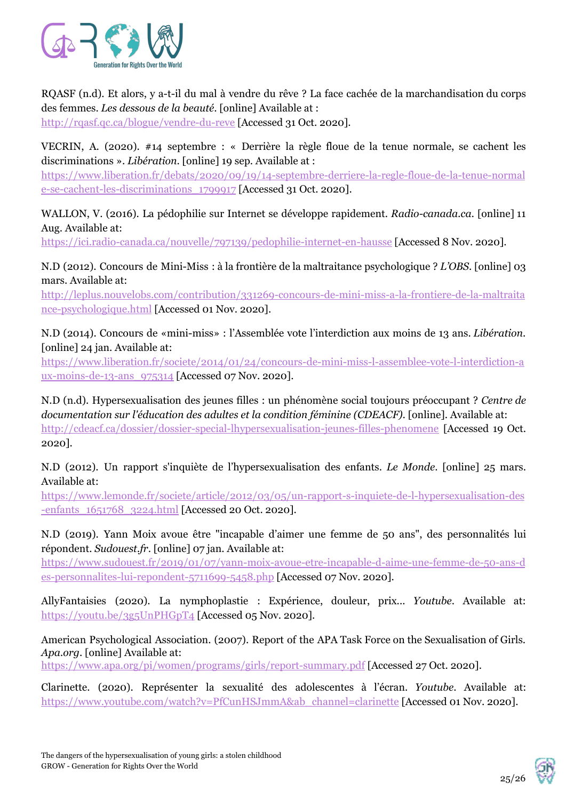

RQASF (n.d). Et alors, y a-t-il du mal à vendre du rêve ? La face cachée de la marchandisation du corps des femmes. *Les dessous de la beauté*. [online] Available at : <http://rqasf.qc.ca/blogue/vendre-du-reve> [Accessed 31 Oct. 2020].

VECRIN, A. (2020). #14 septembre : « Derrière la règle floue de la tenue normale, se cachent les discriminations ». *Libération*. [online] 19 sep. Available at :

[https://www.liberation.fr/debats/2020/09/19/14-septembre-derriere-la-regle-floue-de-la-tenue-normal](https://www.liberation.fr/debats/2020/09/19/14-septembre-derriere-la-regle-floue-de-la-tenue-normale-se-cachent-les-discriminations_1799917) [e-se-cachent-les-discriminations\\_1799917](https://www.liberation.fr/debats/2020/09/19/14-septembre-derriere-la-regle-floue-de-la-tenue-normale-se-cachent-les-discriminations_1799917) [Accessed 31 Oct. 2020].

WALLON, V. (2016). La pédophilie sur Internet se développe rapidement. *Radio-canada.ca.* [online] 11 Aug. Available at:

<https://ici.radio-canada.ca/nouvelle/797139/pedophilie-internet-en-hausse> [Accessed 8 Nov. 2020].

N.D (2012). Concours de Mini-Miss : à la frontière de la maltraitance psychologique ? *L'OBS*. [online] 03 mars. Available at:

[http://leplus.nouvelobs.com/contribution/331269-concours-de-mini-miss-a-la-frontiere-de-la-maltraita](http://leplus.nouvelobs.com/contribution/331269-concours-de-mini-miss-a-la-frontiere-de-la-maltraitance-psychologique.html) [nce-psychologique.html](http://leplus.nouvelobs.com/contribution/331269-concours-de-mini-miss-a-la-frontiere-de-la-maltraitance-psychologique.html) [Accessed 01 Nov. 2020].

N.D (2014). Concours de «mini-miss» : l'Assemblée vote l'interdiction aux moins de 13 ans. *Libération*. [online] 24 jan. Available at:

[https://www.liberation.fr/societe/2014/01/24/concours-de-mini-miss-l-assemblee-vote-l-interdiction-a](https://www.liberation.fr/societe/2014/01/24/concours-de-mini-miss-l-assemblee-vote-l-interdiction-aux-moins-de-13-ans_975314) [ux-moins-de-13-ans\\_975314](https://www.liberation.fr/societe/2014/01/24/concours-de-mini-miss-l-assemblee-vote-l-interdiction-aux-moins-de-13-ans_975314) [Accessed 07 Nov. 2020].

N.D (n.d). Hypersexualisation des jeunes filles : un phénomène social toujours préoccupant ? *Centre de documentation sur l'éducation des adultes et la condition féminine (CDEACF).* [online]. Available at: <http://cdeacf.ca/dossier/dossier-special-lhypersexualisation-jeunes-filles-phenomene> [Accessed 19 Oct. 2020].

N.D (2012). Un rapport s'inquiète de l'hypersexualisation des enfants. *Le Monde*. [online] 25 mars. Available at:

[https://www.lemonde.fr/societe/article/2012/03/05/un-rapport-s-inquiete-de-l-hypersexualisation-des](https://www.lemonde.fr/societe/article/2012/03/05/un-rapport-s-inquiete-de-l-hypersexualisation-des-enfants_1651768_3224.html) -enfants 1651768 3224.html [Accessed 20 Oct. 2020].

N.D (2019). Yann Moix avoue être "incapable d'aimer une femme de 50 ans", des personnalités lui répondent. *Sudouest.fr*. [online] 07 jan. Available at:

[https://www.sudouest.fr/2019/01/07/yann-moix-avoue-etre-incapable-d-aime-une-femme-de-50-ans-d](https://www.sudouest.fr/2019/01/07/yann-moix-avoue-etre-incapable-d-aime-une-femme-de-50-ans-des-personnalites-lui-repondent-5711699-5458.php) [es-personnalites-lui-repondent-5711699-5458.php](https://www.sudouest.fr/2019/01/07/yann-moix-avoue-etre-incapable-d-aime-une-femme-de-50-ans-des-personnalites-lui-repondent-5711699-5458.php) [Accessed 07 Nov. 2020].

AllyFantaisies (2020). La nymphoplastie : Expérience, douleur, prix... *Youtube*. Available at: <https://youtu.be/3g5UnPHGpT4> [Accessed 05 Nov. 2020].

American Psychological Association. (2007). Report of the APA Task Force on the Sexualisation of Girls. *Apa.org*. [online] Available at:

<https://www.apa.org/pi/women/programs/girls/report-summary.pdf> [Accessed 27 Oct. 2020].

Clarinette. (2020). Représenter la sexualité des adolescentes à l'écran. *Youtube*. Available at: [https://www.youtube.com/watch?v=PfCunHSJmmA&ab\\_channel=clarinette](https://www.youtube.com/watch?v=PfCunHSJmmA&ab_channel=clarinette) [Accessed 01 Nov. 2020].